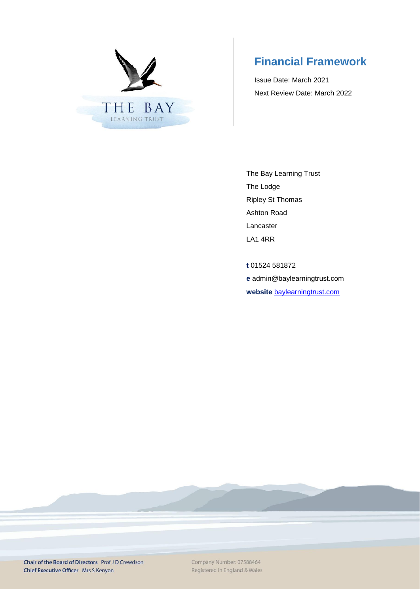

# **Financial Framework**

Issue Date: March 2021 Next Review Date: March 2022

The Bay Learning Trust The Lodge Ripley St Thomas Ashton Road Lancaster LA1 4RR

**t** 01524 581872 **e** admin@baylearningtrust.com **website** [baylearningtrust.com](http://www.ripleystthomas.com/)

Chair of the Board of Directors Prof JD Crewdson Chief Executive Officer Mrs S Kenyon

Company Number: 07588464 Registered in England & Wales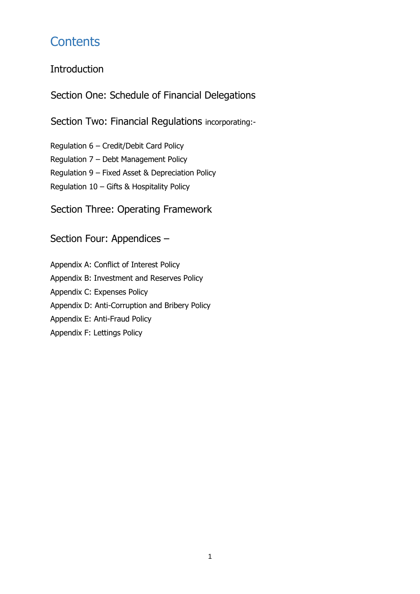# **Contents**

## Introduction

Section One: Schedule of Financial Delegations

Section Two: Financial Regulations incorporating:-

Regulation 6 – Credit/Debit Card Policy Regulation 7 – Debt Management Policy Regulation 9 – Fixed Asset & Depreciation Policy Regulation 10 – Gifts & Hospitality Policy

Section Three: Operating Framework

## Section Four: Appendices –

Appendix A: Conflict of Interest Policy Appendix B: Investment and Reserves Policy Appendix C: Expenses Policy Appendix D: Anti-Corruption and Bribery Policy Appendix E: Anti-Fraud Policy Appendix F: Lettings Policy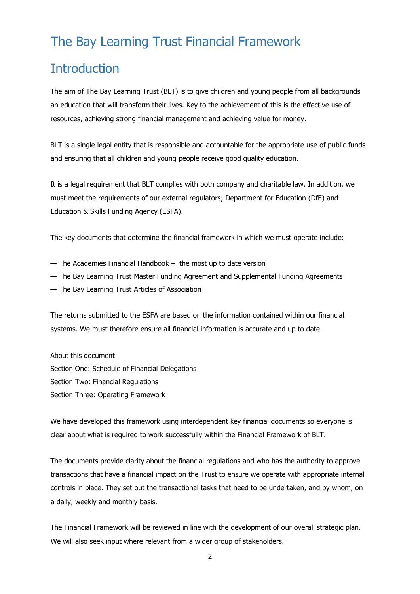# The Bay Learning Trust Financial Framework

# **Introduction**

The aim of The Bay Learning Trust (BLT) is to give children and young people from all backgrounds an education that will transform their lives. Key to the achievement of this is the effective use of resources, achieving strong financial management and achieving value for money.

BLT is a single legal entity that is responsible and accountable for the appropriate use of public funds and ensuring that all children and young people receive good quality education.

It is a legal requirement that BLT complies with both company and charitable law. In addition, we must meet the requirements of our external regulators; Department for Education (DfE) and Education & Skills Funding Agency (ESFA).

The key documents that determine the financial framework in which we must operate include:

- The Academies Financial Handbook the most up to date version
- The Bay Learning Trust Master Funding Agreement and Supplemental Funding Agreements
- The Bay Learning Trust Articles of Association

The returns submitted to the ESFA are based on the information contained within our financial systems. We must therefore ensure all financial information is accurate and up to date.

About this document Section One: Schedule of Financial Delegations Section Two: Financial Regulations Section Three: Operating Framework

We have developed this framework using interdependent key financial documents so everyone is clear about what is required to work successfully within the Financial Framework of BLT.

The documents provide clarity about the financial regulations and who has the authority to approve transactions that have a financial impact on the Trust to ensure we operate with appropriate internal controls in place. They set out the transactional tasks that need to be undertaken, and by whom, on a daily, weekly and monthly basis.

The Financial Framework will be reviewed in line with the development of our overall strategic plan. We will also seek input where relevant from a wider group of stakeholders.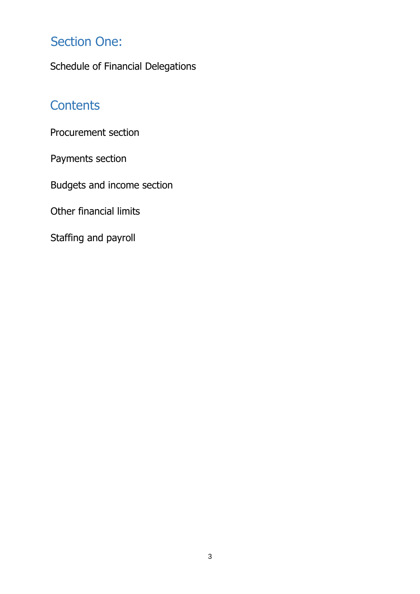# Section One:

Schedule of Financial Delegations

# **Contents**

Procurement section

Payments section

Budgets and income section

Other financial limits

Staffing and payroll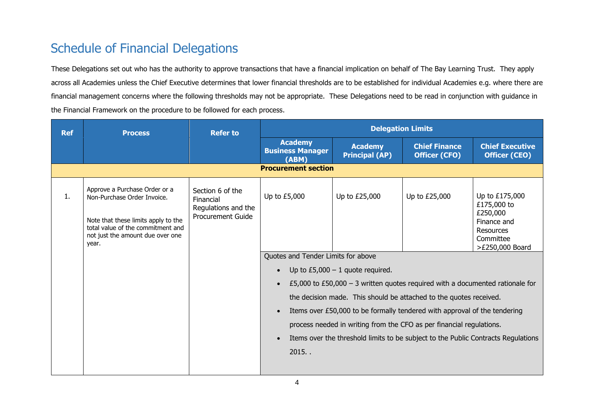# Schedule of Financial Delegations

These Delegations set out who has the authority to approve transactions that have a financial implication on behalf of The Bay Learning Trust. They apply across all Academies unless the Chief Executive determines that lower financial thresholds are to be established for individual Academies e.g. where there are financial management concerns where the following thresholds may not be appropriate. These Delegations need to be read in conjunction with guidance in the Financial Framework on the procedure to be followed for each process.

| <b>Academy</b><br><b>Academy</b><br><b>Chief Finance</b><br><b>Business Manager</b><br><b>Principal (AP)</b><br><b>Officer (CFO)</b><br>(ABM)<br><b>Procurement section</b>                                                                                                                                                                                                                                                                                                                                                                                                                                                                                                                                                                                                                                                                                                                                                                                  | <b>Ref</b><br><b>Process</b> | <b>Refer to</b> | <b>Delegation Limits</b> |  |                                                |  |  |  |
|--------------------------------------------------------------------------------------------------------------------------------------------------------------------------------------------------------------------------------------------------------------------------------------------------------------------------------------------------------------------------------------------------------------------------------------------------------------------------------------------------------------------------------------------------------------------------------------------------------------------------------------------------------------------------------------------------------------------------------------------------------------------------------------------------------------------------------------------------------------------------------------------------------------------------------------------------------------|------------------------------|-----------------|--------------------------|--|------------------------------------------------|--|--|--|
|                                                                                                                                                                                                                                                                                                                                                                                                                                                                                                                                                                                                                                                                                                                                                                                                                                                                                                                                                              |                              |                 |                          |  | <b>Chief Executive</b><br><b>Officer (CEO)</b> |  |  |  |
|                                                                                                                                                                                                                                                                                                                                                                                                                                                                                                                                                                                                                                                                                                                                                                                                                                                                                                                                                              |                              |                 |                          |  |                                                |  |  |  |
| Approve a Purchase Order or a<br>Section 6 of the<br>Up to $£5,000$<br>Up to £25,000<br>Up to £25,000<br>1.<br>Non-Purchase Order Invoice.<br>Financial<br>£175,000 to<br>Regulations and the<br>£250,000<br><b>Procurement Guide</b><br>Note that these limits apply to the<br>Finance and<br>total value of the commitment and<br><b>Resources</b><br>not just the amount due over one<br>Committee<br>year.<br>Quotes and Tender Limits for above<br>Up to $£5,000 - 1$ quote required.<br>$\bullet$<br>£5,000 to £50,000 – 3 written quotes required with a documented rationale for<br>$\bullet$<br>the decision made. This should be attached to the quotes received.<br>Items over £50,000 to be formally tendered with approval of the tendering<br>$\bullet$<br>process needed in writing from the CFO as per financial regulations.<br>Items over the threshold limits to be subject to the Public Contracts Regulations<br>$\bullet$<br>$2015.$ . |                              |                 |                          |  | Up to £175,000<br>>£250,000 Board              |  |  |  |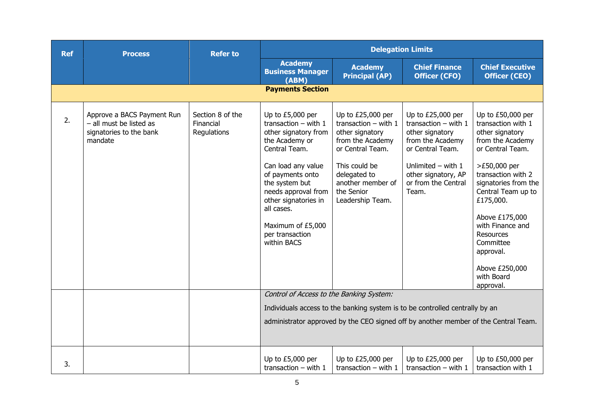| <b>Ref</b> | <b>Process</b>                                                                              | <b>Refer to</b>                              |                                                                                                                                                                                                                                                                                         | <b>Delegation Limits</b>                                                                                                                                                                       |                                                                                                                                                                                         |                                                                                                                                                                                                                                                                                                                               |  |
|------------|---------------------------------------------------------------------------------------------|----------------------------------------------|-----------------------------------------------------------------------------------------------------------------------------------------------------------------------------------------------------------------------------------------------------------------------------------------|------------------------------------------------------------------------------------------------------------------------------------------------------------------------------------------------|-----------------------------------------------------------------------------------------------------------------------------------------------------------------------------------------|-------------------------------------------------------------------------------------------------------------------------------------------------------------------------------------------------------------------------------------------------------------------------------------------------------------------------------|--|
|            |                                                                                             |                                              | <b>Academy</b><br><b>Business Manager</b><br>(ABM)                                                                                                                                                                                                                                      | <b>Academy</b><br><b>Principal (AP)</b>                                                                                                                                                        | <b>Chief Finance</b><br><b>Officer (CFO)</b>                                                                                                                                            | <b>Chief Executive</b><br><b>Officer (CEO)</b>                                                                                                                                                                                                                                                                                |  |
|            |                                                                                             |                                              | <b>Payments Section</b>                                                                                                                                                                                                                                                                 |                                                                                                                                                                                                |                                                                                                                                                                                         |                                                                                                                                                                                                                                                                                                                               |  |
| 2.         | Approve a BACS Payment Run<br>- all must be listed as<br>signatories to the bank<br>mandate | Section 8 of the<br>Financial<br>Regulations | Up to £5,000 per<br>transaction $-$ with $1$<br>other signatory from<br>the Academy or<br>Central Team.<br>Can load any value<br>of payments onto<br>the system but<br>needs approval from<br>other signatories in<br>all cases.<br>Maximum of £5,000<br>per transaction<br>within BACS | Up to £25,000 per<br>transaction $-$ with 1<br>other signatory<br>from the Academy<br>or Central Team.<br>This could be<br>delegated to<br>another member of<br>the Senior<br>Leadership Team. | Up to £25,000 per<br>transaction $-$ with 1<br>other signatory<br>from the Academy<br>or Central Team.<br>Unlimited $-$ with $1$<br>other signatory, AP<br>or from the Central<br>Team. | Up to £50,000 per<br>transaction with 1<br>other signatory<br>from the Academy<br>or Central Team.<br>>£50,000 per<br>transaction with 2<br>signatories from the<br>Central Team up to<br>£175,000.<br>Above £175,000<br>with Finance and<br>Resources<br>Committee<br>approval.<br>Above £250,000<br>with Board<br>approval. |  |
|            |                                                                                             |                                              | Control of Access to the Banking System:<br>Individuals access to the banking system is to be controlled centrally by an                                                                                                                                                                |                                                                                                                                                                                                |                                                                                                                                                                                         |                                                                                                                                                                                                                                                                                                                               |  |
|            |                                                                                             |                                              |                                                                                                                                                                                                                                                                                         |                                                                                                                                                                                                | administrator approved by the CEO signed off by another member of the Central Team.                                                                                                     |                                                                                                                                                                                                                                                                                                                               |  |
| 3.         |                                                                                             |                                              | Up to £5,000 per<br>transaction $-$ with 1                                                                                                                                                                                                                                              | Up to £25,000 per<br>transaction $-$ with 1                                                                                                                                                    | Up to £25,000 per<br>transaction $-$ with 1                                                                                                                                             | Up to £50,000 per<br>transaction with 1                                                                                                                                                                                                                                                                                       |  |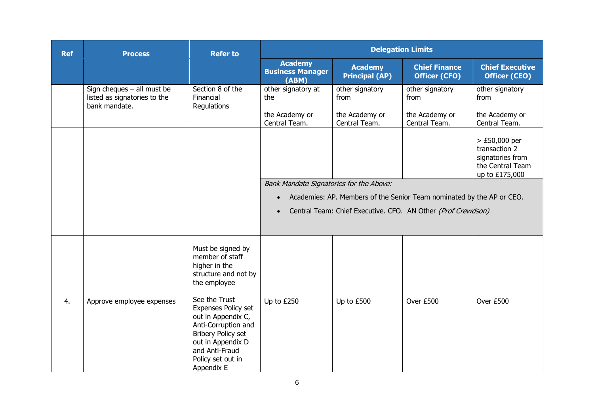| <b>Ref</b> | <b>Process</b>                                                                | <b>Refer to</b>                                                                                                                                                                                                                                                                           |                                                          | <b>Delegation Limits</b>                  |                                                                                                                                       |                                                                                                           |  |
|------------|-------------------------------------------------------------------------------|-------------------------------------------------------------------------------------------------------------------------------------------------------------------------------------------------------------------------------------------------------------------------------------------|----------------------------------------------------------|-------------------------------------------|---------------------------------------------------------------------------------------------------------------------------------------|-----------------------------------------------------------------------------------------------------------|--|
|            |                                                                               |                                                                                                                                                                                                                                                                                           | <b>Academy</b><br><b>Business Manager</b><br>(ABM)       | <b>Academy</b><br><b>Principal (AP)</b>   | <b>Chief Finance</b><br><b>Officer (CFO)</b>                                                                                          | <b>Chief Executive</b><br><b>Officer (CEO)</b>                                                            |  |
|            | Sign cheques $-$ all must be<br>listed as signatories to the<br>bank mandate. | Section 8 of the<br>Financial<br>Regulations                                                                                                                                                                                                                                              | other signatory at<br>the<br>the Academy or              | other signatory<br>from<br>the Academy or | other signatory<br>from<br>the Academy or                                                                                             | other signatory<br>from<br>the Academy or                                                                 |  |
|            |                                                                               |                                                                                                                                                                                                                                                                                           | Central Team.<br>Bank Mandate Signatories for the Above: | Central Team.                             | Central Team.                                                                                                                         | Central Team.<br>> £50,000 per<br>transaction 2<br>signatories from<br>the Central Team<br>up to £175,000 |  |
|            |                                                                               |                                                                                                                                                                                                                                                                                           | $\bullet$<br>$\bullet$                                   |                                           | Academies: AP. Members of the Senior Team nominated by the AP or CEO.<br>Central Team: Chief Executive. CFO. AN Other (Prof Crewdson) |                                                                                                           |  |
| 4.         | Approve employee expenses                                                     | Must be signed by<br>member of staff<br>higher in the<br>structure and not by<br>the employee<br>See the Trust<br>Expenses Policy set<br>out in Appendix C,<br>Anti-Corruption and<br><b>Bribery Policy set</b><br>out in Appendix D<br>and Anti-Fraud<br>Policy set out in<br>Appendix E | Up to £250                                               | Up to £500                                | Over £500                                                                                                                             | Over £500                                                                                                 |  |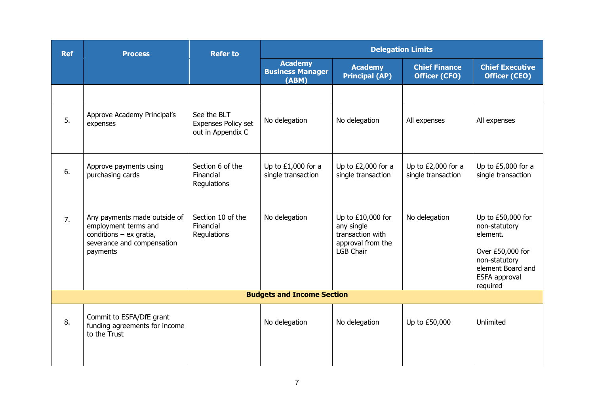| <b>Ref</b> | <b>Process</b>                                                                                                              | <b>Refer to</b>                                         |                                                    |                                                                                              | <b>Delegation Limits</b>                     |                                                                                                                                       |
|------------|-----------------------------------------------------------------------------------------------------------------------------|---------------------------------------------------------|----------------------------------------------------|----------------------------------------------------------------------------------------------|----------------------------------------------|---------------------------------------------------------------------------------------------------------------------------------------|
|            |                                                                                                                             |                                                         | <b>Academy</b><br><b>Business Manager</b><br>(ABM) | <b>Academy</b><br><b>Principal (AP)</b>                                                      | <b>Chief Finance</b><br><b>Officer (CFO)</b> | <b>Chief Executive</b><br><b>Officer (CEO)</b>                                                                                        |
|            |                                                                                                                             |                                                         |                                                    |                                                                                              |                                              |                                                                                                                                       |
| 5.         | Approve Academy Principal's<br>expenses                                                                                     | See the BLT<br>Expenses Policy set<br>out in Appendix C | No delegation                                      | No delegation                                                                                | All expenses                                 | All expenses                                                                                                                          |
| 6.         | Approve payments using<br>purchasing cards                                                                                  | Section 6 of the<br>Financial<br>Regulations            | Up to $£1,000$ for a<br>single transaction         | Up to $£2,000$ for a<br>single transaction                                                   | Up to £2,000 for a<br>single transaction     | Up to $£5,000$ for a<br>single transaction                                                                                            |
| 7.         | Any payments made outside of<br>employment terms and<br>conditions $-$ ex gratia,<br>severance and compensation<br>payments | Section 10 of the<br>Financial<br>Regulations           | No delegation                                      | Up to £10,000 for<br>any single<br>transaction with<br>approval from the<br><b>LGB Chair</b> | No delegation                                | Up to £50,000 for<br>non-statutory<br>element.<br>Over £50,000 for<br>non-statutory<br>element Board and<br>ESFA approval<br>required |
|            |                                                                                                                             |                                                         | <b>Budgets and Income Section</b>                  |                                                                                              |                                              |                                                                                                                                       |
| 8.         | Commit to ESFA/DfE grant<br>funding agreements for income<br>to the Trust                                                   |                                                         | No delegation                                      | No delegation                                                                                | Up to £50,000                                | Unlimited                                                                                                                             |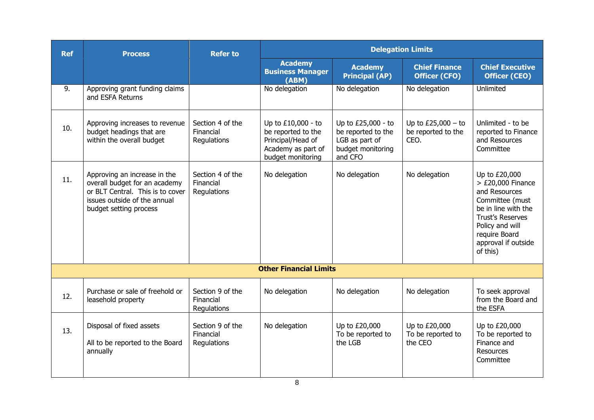| <b>Ref</b> | <b>Process</b>                                                                                                                                              | <b>Refer to</b>                              |                                                                                                          |                                                                                            | <b>Delegation Limits</b>                           |                                                                                                                                                                                                   |
|------------|-------------------------------------------------------------------------------------------------------------------------------------------------------------|----------------------------------------------|----------------------------------------------------------------------------------------------------------|--------------------------------------------------------------------------------------------|----------------------------------------------------|---------------------------------------------------------------------------------------------------------------------------------------------------------------------------------------------------|
|            |                                                                                                                                                             |                                              | <b>Academy</b><br><b>Business Manager</b><br>(ABM)                                                       | <b>Academy</b><br><b>Principal (AP)</b>                                                    | <b>Chief Finance</b><br><b>Officer (CFO)</b>       | <b>Chief Executive</b><br><b>Officer (CEO)</b>                                                                                                                                                    |
| 9.         | Approving grant funding claims<br>and ESFA Returns                                                                                                          |                                              | No delegation                                                                                            | No delegation                                                                              | No delegation                                      | Unlimited                                                                                                                                                                                         |
| 10.        | Approving increases to revenue<br>budget headings that are<br>within the overall budget                                                                     | Section 4 of the<br>Financial<br>Regulations | Up to £10,000 - to<br>be reported to the<br>Principal/Head of<br>Academy as part of<br>budget monitoring | Up to £25,000 - to<br>be reported to the<br>LGB as part of<br>budget monitoring<br>and CFO | Up to $£25,000 - to$<br>be reported to the<br>CEO. | Unlimited - to be<br>reported to Finance<br>and Resources<br>Committee                                                                                                                            |
| 11.        | Approving an increase in the<br>overall budget for an academy<br>or BLT Central. This is to cover<br>issues outside of the annual<br>budget setting process | Section 4 of the<br>Financial<br>Regulations | No delegation                                                                                            | No delegation                                                                              | No delegation                                      | Up to £20,000<br>$>$ £20,000 Finance<br>and Resources<br>Committee (must<br>be in line with the<br><b>Trust's Reserves</b><br>Policy and will<br>require Board<br>approval if outside<br>of this) |
|            |                                                                                                                                                             |                                              | <b>Other Financial Limits</b>                                                                            |                                                                                            |                                                    |                                                                                                                                                                                                   |
| 12.        | Purchase or sale of freehold or<br>leasehold property                                                                                                       | Section 9 of the<br>Financial<br>Regulations | No delegation                                                                                            | No delegation                                                                              | No delegation                                      | To seek approval<br>from the Board and<br>the ESFA                                                                                                                                                |
| 13.        | Disposal of fixed assets<br>All to be reported to the Board<br>annually                                                                                     | Section 9 of the<br>Financial<br>Regulations | No delegation                                                                                            | Up to £20,000<br>To be reported to<br>the LGB                                              | Up to £20,000<br>To be reported to<br>the CEO      | Up to £20,000<br>To be reported to<br>Finance and<br><b>Resources</b><br>Committee                                                                                                                |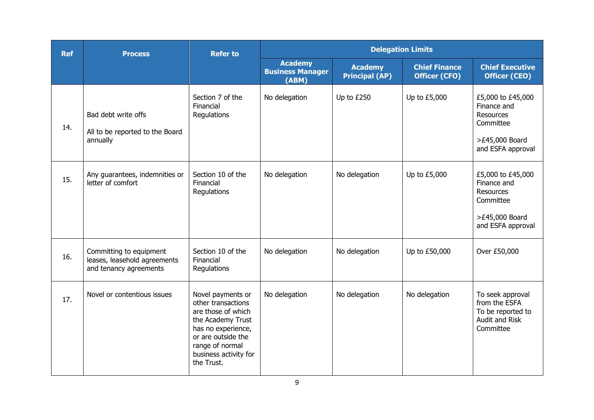| <b>Ref</b> | <b>Process</b>                                                                    | <b>Refer to</b>                                                                                                                                                                          |                                                    |                                         | <b>Delegation Limits</b>                     |                                                                                                          |
|------------|-----------------------------------------------------------------------------------|------------------------------------------------------------------------------------------------------------------------------------------------------------------------------------------|----------------------------------------------------|-----------------------------------------|----------------------------------------------|----------------------------------------------------------------------------------------------------------|
|            |                                                                                   |                                                                                                                                                                                          | <b>Academy</b><br><b>Business Manager</b><br>(ABM) | <b>Academy</b><br><b>Principal (AP)</b> | <b>Chief Finance</b><br><b>Officer (CFO)</b> | <b>Chief Executive</b><br><b>Officer (CEO)</b>                                                           |
| 14.        | Bad debt write offs<br>All to be reported to the Board<br>annually                | Section 7 of the<br>Financial<br>Regulations                                                                                                                                             | No delegation                                      | Up to £250                              | Up to £5,000                                 | £5,000 to £45,000<br>Finance and<br><b>Resources</b><br>Committee<br>>£45,000 Board<br>and ESFA approval |
| 15.        | Any guarantees, indemnities or<br>letter of comfort                               | Section 10 of the<br>Financial<br>Regulations                                                                                                                                            | No delegation                                      | No delegation                           | Up to £5,000                                 | £5,000 to £45,000<br>Finance and<br><b>Resources</b><br>Committee<br>>£45,000 Board<br>and ESFA approval |
| 16.        | Committing to equipment<br>leases, leasehold agreements<br>and tenancy agreements | Section 10 of the<br>Financial<br>Regulations                                                                                                                                            | No delegation                                      | No delegation                           | Up to £50,000                                | Over £50,000                                                                                             |
| 17.        | Novel or contentious issues                                                       | Novel payments or<br>other transactions<br>are those of which<br>the Academy Trust<br>has no experience,<br>or are outside the<br>range of normal<br>business activity for<br>the Trust. | No delegation                                      | No delegation                           | No delegation                                | To seek approval<br>from the ESFA<br>To be reported to<br>Audit and Risk<br>Committee                    |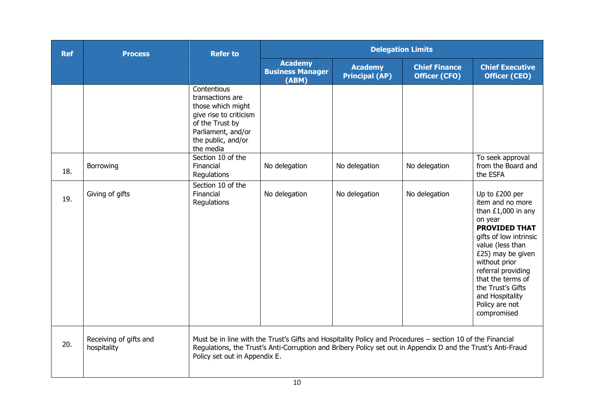| <b>Ref</b> | <b>Process</b>                        | <b>Refer to</b>                                                                                                                                            |                                                                                                                                                                                                                            |                                         | <b>Delegation Limits</b>                     |                                                                                                                                                                                                                                                                                                       |
|------------|---------------------------------------|------------------------------------------------------------------------------------------------------------------------------------------------------------|----------------------------------------------------------------------------------------------------------------------------------------------------------------------------------------------------------------------------|-----------------------------------------|----------------------------------------------|-------------------------------------------------------------------------------------------------------------------------------------------------------------------------------------------------------------------------------------------------------------------------------------------------------|
|            |                                       |                                                                                                                                                            | <b>Academy</b><br><b>Business Manager</b><br>(ABM)                                                                                                                                                                         | <b>Academy</b><br><b>Principal (AP)</b> | <b>Chief Finance</b><br><b>Officer (CFO)</b> | <b>Chief Executive</b><br><b>Officer (CEO)</b>                                                                                                                                                                                                                                                        |
|            |                                       | Contentious<br>transactions are<br>those which might<br>give rise to criticism<br>of the Trust by<br>Parliament, and/or<br>the public, and/or<br>the media |                                                                                                                                                                                                                            |                                         |                                              |                                                                                                                                                                                                                                                                                                       |
| 18.        | Borrowing                             | Section 10 of the<br>Financial<br>Regulations                                                                                                              | No delegation                                                                                                                                                                                                              | No delegation                           | No delegation                                | To seek approval<br>from the Board and<br>the ESFA                                                                                                                                                                                                                                                    |
| 19.        | Giving of gifts                       | Section 10 of the<br>Financial<br>Regulations                                                                                                              | No delegation                                                                                                                                                                                                              | No delegation                           | No delegation                                | Up to £200 per<br>item and no more<br>than $£1,000$ in any<br>on year<br><b>PROVIDED THAT</b><br>gifts of low intrinsic<br>value (less than<br>£25) may be given<br>without prior<br>referral providing<br>that the terms of<br>the Trust's Gifts<br>and Hospitality<br>Policy are not<br>compromised |
| 20.        | Receiving of gifts and<br>hospitality | Policy set out in Appendix E.                                                                                                                              | Must be in line with the Trust's Gifts and Hospitality Policy and Procedures - section 10 of the Financial<br>Regulations, the Trust's Anti-Corruption and Bribery Policy set out in Appendix D and the Trust's Anti-Fraud |                                         |                                              |                                                                                                                                                                                                                                                                                                       |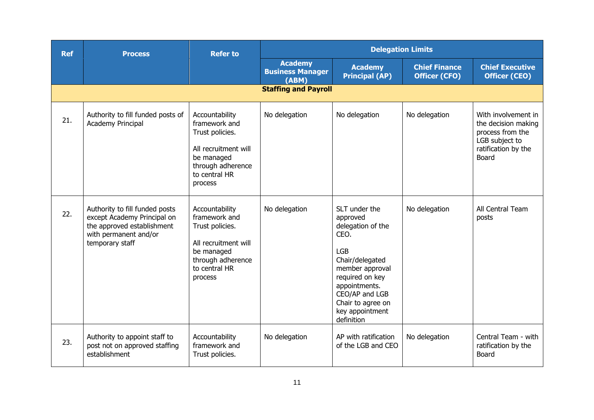| <b>Ref</b> | <b>Process</b>                                                                                                                          | <b>Refer to</b>                                                                                                                           | <b>Delegation Limits</b>                           |                                                                                                                                                                                                                        |                                              |                                                                                                                  |
|------------|-----------------------------------------------------------------------------------------------------------------------------------------|-------------------------------------------------------------------------------------------------------------------------------------------|----------------------------------------------------|------------------------------------------------------------------------------------------------------------------------------------------------------------------------------------------------------------------------|----------------------------------------------|------------------------------------------------------------------------------------------------------------------|
|            |                                                                                                                                         |                                                                                                                                           | <b>Academy</b><br><b>Business Manager</b><br>(ABM) | <b>Academy</b><br><b>Principal (AP)</b>                                                                                                                                                                                | <b>Chief Finance</b><br><b>Officer (CFO)</b> | <b>Chief Executive</b><br><b>Officer (CEO)</b>                                                                   |
|            |                                                                                                                                         |                                                                                                                                           | <b>Staffing and Payroll</b>                        |                                                                                                                                                                                                                        |                                              |                                                                                                                  |
| 21.        | Authority to fill funded posts of<br>Academy Principal                                                                                  | Accountability<br>framework and<br>Trust policies.<br>All recruitment will<br>be managed<br>through adherence<br>to central HR<br>process | No delegation                                      | No delegation                                                                                                                                                                                                          | No delegation                                | With involvement in<br>the decision making<br>process from the<br>LGB subject to<br>ratification by the<br>Board |
| 22.        | Authority to fill funded posts<br>except Academy Principal on<br>the approved establishment<br>with permanent and/or<br>temporary staff | Accountability<br>framework and<br>Trust policies.<br>All recruitment will<br>be managed<br>through adherence<br>to central HR<br>process | No delegation                                      | SLT under the<br>approved<br>delegation of the<br>CEO.<br><b>LGB</b><br>Chair/delegated<br>member approval<br>required on key<br>appointments.<br>CEO/AP and LGB<br>Chair to agree on<br>key appointment<br>definition | No delegation                                | All Central Team<br>posts                                                                                        |
| 23.        | Authority to appoint staff to<br>post not on approved staffing<br>establishment                                                         | Accountability<br>framework and<br>Trust policies.                                                                                        | No delegation                                      | AP with ratification<br>of the LGB and CEO                                                                                                                                                                             | No delegation                                | Central Team - with<br>ratification by the<br>Board                                                              |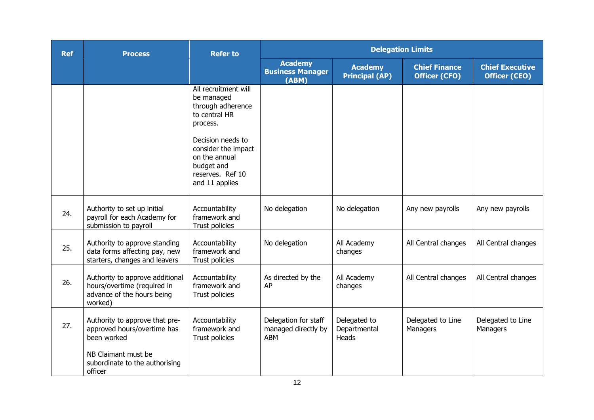| <b>Ref</b> | <b>Process</b>                                                                                          | <b>Refer to</b>                                                                                               |                                                           | <b>Delegation Limits</b>                |                                              |                                                |
|------------|---------------------------------------------------------------------------------------------------------|---------------------------------------------------------------------------------------------------------------|-----------------------------------------------------------|-----------------------------------------|----------------------------------------------|------------------------------------------------|
|            |                                                                                                         |                                                                                                               | <b>Academy</b><br><b>Business Manager</b><br>(ABM)        | <b>Academy</b><br><b>Principal (AP)</b> | <b>Chief Finance</b><br><b>Officer (CFO)</b> | <b>Chief Executive</b><br><b>Officer (CEO)</b> |
|            |                                                                                                         | All recruitment will<br>be managed<br>through adherence<br>to central HR<br>process.                          |                                                           |                                         |                                              |                                                |
|            |                                                                                                         | Decision needs to<br>consider the impact<br>on the annual<br>budget and<br>reserves. Ref 10<br>and 11 applies |                                                           |                                         |                                              |                                                |
| 24.        | Authority to set up initial<br>payroll for each Academy for<br>submission to payroll                    | Accountability<br>framework and<br>Trust policies                                                             | No delegation                                             | No delegation                           | Any new payrolls                             | Any new payrolls                               |
| 25.        | Authority to approve standing<br>data forms affecting pay, new<br>starters, changes and leavers         | Accountability<br>framework and<br>Trust policies                                                             | No delegation                                             | All Academy<br>changes                  | All Central changes                          | All Central changes                            |
| 26.        | Authority to approve additional<br>hours/overtime (required in<br>advance of the hours being<br>worked) | Accountability<br>framework and<br>Trust policies                                                             | As directed by the<br>AP                                  | All Academy<br>changes                  | All Central changes                          | All Central changes                            |
| 27.        | Authority to approve that pre-<br>approved hours/overtime has<br>been worked                            | Accountability<br>framework and<br>Trust policies                                                             | Delegation for staff<br>managed directly by<br><b>ABM</b> | Delegated to<br>Departmental<br>Heads   | Delegated to Line<br>Managers                | Delegated to Line<br>Managers                  |
|            | NB Claimant must be<br>subordinate to the authorising<br>officer                                        |                                                                                                               |                                                           |                                         |                                              |                                                |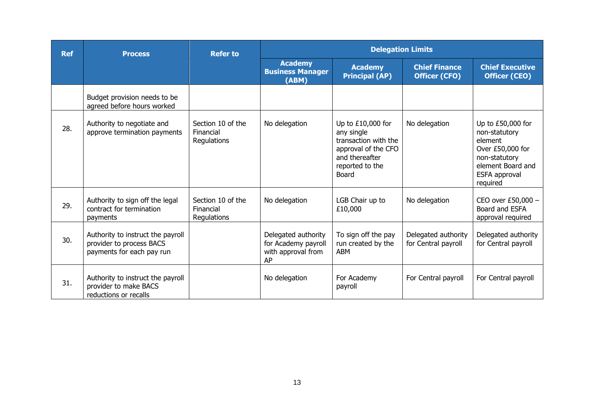| <b>Ref</b> | <b>Process</b>                                                                             | <b>Refer to</b>                               |                                                                        | <b>Delegation Limits</b>                                                                                                              |                                              |                                                                                                                                      |  |
|------------|--------------------------------------------------------------------------------------------|-----------------------------------------------|------------------------------------------------------------------------|---------------------------------------------------------------------------------------------------------------------------------------|----------------------------------------------|--------------------------------------------------------------------------------------------------------------------------------------|--|
|            |                                                                                            |                                               | <b>Academy</b><br><b>Business Manager</b><br>(ABM)                     | <b>Academy</b><br><b>Principal (AP)</b>                                                                                               | <b>Chief Finance</b><br><b>Officer (CFO)</b> | <b>Chief Executive</b><br><b>Officer (CEO)</b>                                                                                       |  |
|            | Budget provision needs to be<br>agreed before hours worked                                 |                                               |                                                                        |                                                                                                                                       |                                              |                                                                                                                                      |  |
| 28.        | Authority to negotiate and<br>approve termination payments                                 | Section 10 of the<br>Financial<br>Regulations | No delegation                                                          | Up to $£10,000$ for<br>any single<br>transaction with the<br>approval of the CFO<br>and thereafter<br>reported to the<br><b>Board</b> | No delegation                                | Up to £50,000 for<br>non-statutory<br>element<br>Over £50,000 for<br>non-statutory<br>element Board and<br>ESFA approval<br>required |  |
| 29.        | Authority to sign off the legal<br>contract for termination<br>payments                    | Section 10 of the<br>Financial<br>Regulations | No delegation                                                          | LGB Chair up to<br>£10,000                                                                                                            | No delegation                                | CEO over £50,000 -<br>Board and ESFA<br>approval required                                                                            |  |
| 30.        | Authority to instruct the payroll<br>provider to process BACS<br>payments for each pay run |                                               | Delegated authority<br>for Academy payroll<br>with approval from<br>AP | To sign off the pay<br>run created by the<br>ABM                                                                                      | Delegated authority<br>for Central payroll   | Delegated authority<br>for Central payroll                                                                                           |  |
| 31.        | Authority to instruct the payroll<br>provider to make BACS<br>reductions or recalls        |                                               | No delegation                                                          | For Academy<br>payroll                                                                                                                | For Central payroll                          | For Central payroll                                                                                                                  |  |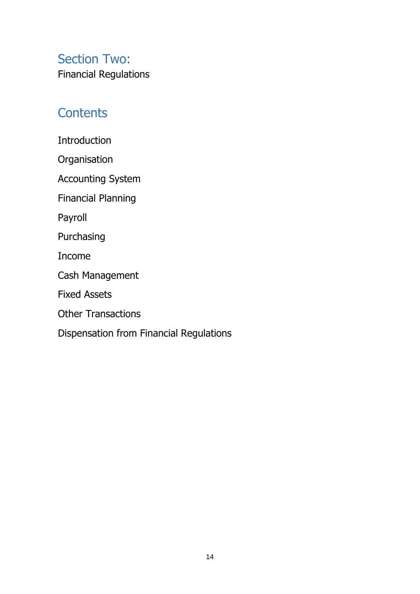Section Two: Financial Regulations

# **Contents**

Introduction

**Organisation** 

Accounting System

Financial Planning

Payroll

Purchasing

Income

Cash Management

Fixed Assets

Other Transactions

Dispensation from Financial Regulations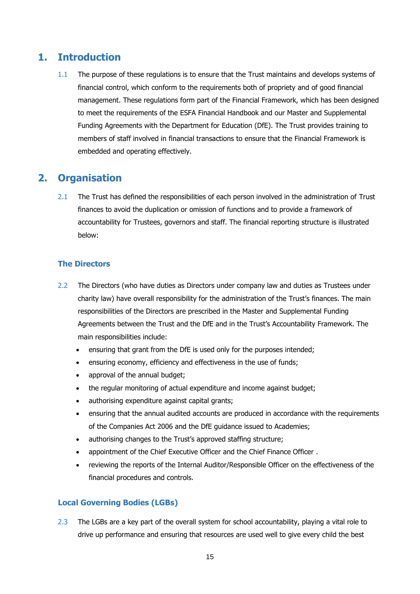### **1. Introduction**

1.1 The purpose of these regulations is to ensure that the Trust maintains and develops systems of financial control, which conform to the requirements both of propriety and of good financial management. These regulations form part of the Financial Framework, which has been designed to meet the requirements of the ESFA Financial Handbook and our Master and Supplemental Funding Agreements with the Department for Education (DfE). The Trust provides training to members of staff involved in financial transactions to ensure that the Financial Framework is embedded and operating effectively.

## **2. Organisation**

2.1 The Trust has defined the responsibilities of each person involved in the administration of Trust finances to avoid the duplication or omission of functions and to provide a framework of accountability for Trustees, governors and staff. The financial reporting structure is illustrated below:

#### **The Directors**

- 2.2 The Directors (who have duties as Directors under company law and duties as Trustees under charity law) have overall responsibility for the administration of the Trust's finances. The main responsibilities of the Directors are prescribed in the Master and Supplemental Funding Agreements between the Trust and the DfE and in the Trust's Accountability Framework. The main responsibilities include:
	- ensuring that grant from the DfE is used only for the purposes intended;
	- ensuring economy, efficiency and effectiveness in the use of funds;
	- approval of the annual budget;
	- the regular monitoring of actual expenditure and income against budget;
	- authorising expenditure against capital grants;
	- ensuring that the annual audited accounts are produced in accordance with the requirements of the Companies Act 2006 and the DfE guidance issued to Academies;
	- authorising changes to the Trust's approved staffing structure;
	- appointment of the Chief Executive Officer and the Chief Finance Officer .
	- reviewing the reports of the Internal Auditor/Responsible Officer on the effectiveness of the financial procedures and controls.

#### **Local Governing Bodies (LGBs)**

2.3 The LGBs are a key part of the overall system for school accountability, playing a vital role to drive up performance and ensuring that resources are used well to give every child the best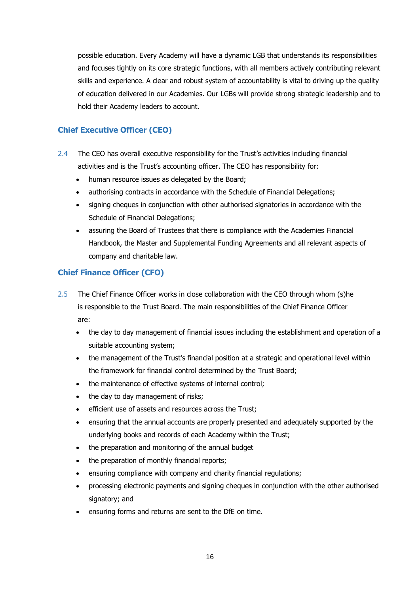possible education. Every Academy will have a dynamic LGB that understands its responsibilities and focuses tightly on its core strategic functions, with all members actively contributing relevant skills and experience. A clear and robust system of accountability is vital to driving up the quality of education delivered in our Academies. Our LGBs will provide strong strategic leadership and to hold their Academy leaders to account.

#### **Chief Executive Officer (CEO)**

- 2.4 The CEO has overall executive responsibility for the Trust's activities including financial activities and is the Trust's accounting officer. The CEO has responsibility for:
	- human resource issues as delegated by the Board;
	- authorising contracts in accordance with the Schedule of Financial Delegations;
	- signing cheques in conjunction with other authorised signatories in accordance with the Schedule of Financial Delegations;
	- assuring the Board of Trustees that there is compliance with the Academies Financial Handbook, the Master and Supplemental Funding Agreements and all relevant aspects of company and charitable law.

#### **Chief Finance Officer (CFO)**

- 2.5 The Chief Finance Officer works in close collaboration with the CEO through whom (s)he is responsible to the Trust Board. The main responsibilities of the Chief Finance Officer are:
	- the day to day management of financial issues including the establishment and operation of a suitable accounting system;
	- the management of the Trust's financial position at a strategic and operational level within the framework for financial control determined by the Trust Board;
	- the maintenance of effective systems of internal control;
	- the day to day management of risks;
	- efficient use of assets and resources across the Trust;
	- ensuring that the annual accounts are properly presented and adequately supported by the underlying books and records of each Academy within the Trust;
	- the preparation and monitoring of the annual budget
	- the preparation of monthly financial reports;
	- ensuring compliance with company and charity financial regulations;
	- processing electronic payments and signing cheques in conjunction with the other authorised signatory; and
	- ensuring forms and returns are sent to the DfE on time.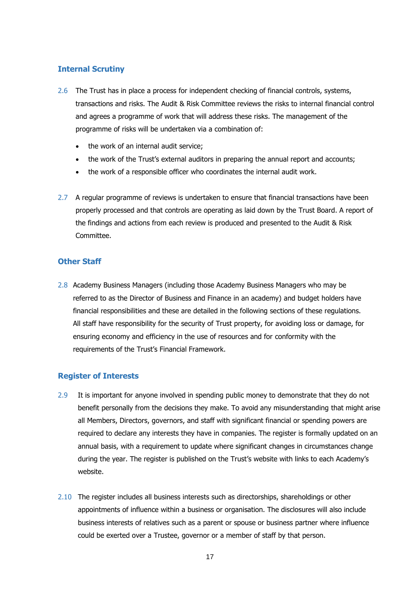#### **Internal Scrutiny**

- 2.6 The Trust has in place a process for independent checking of financial controls, systems, transactions and risks. The Audit & Risk Committee reviews the risks to internal financial control and agrees a programme of work that will address these risks. The management of the programme of risks will be undertaken via a combination of:
	- the work of an internal audit service:
	- the work of the Trust's external auditors in preparing the annual report and accounts;
	- the work of a responsible officer who coordinates the internal audit work.
- 2.7 A regular programme of reviews is undertaken to ensure that financial transactions have been properly processed and that controls are operating as laid down by the Trust Board. A report of the findings and actions from each review is produced and presented to the Audit & Risk Committee.

#### **Other Staff**

2.8 Academy Business Managers (including those Academy Business Managers who may be referred to as the Director of Business and Finance in an academy) and budget holders have financial responsibilities and these are detailed in the following sections of these regulations. All staff have responsibility for the security of Trust property, for avoiding loss or damage, for ensuring economy and efficiency in the use of resources and for conformity with the requirements of the Trust's Financial Framework.

#### **Register of Interests**

- 2.9 It is important for anyone involved in spending public money to demonstrate that they do not benefit personally from the decisions they make. To avoid any misunderstanding that might arise all Members, Directors, governors, and staff with significant financial or spending powers are required to declare any interests they have in companies. The register is formally updated on an annual basis, with a requirement to update where significant changes in circumstances change during the year. The register is published on the Trust's website with links to each Academy's website.
- 2.10 The register includes all business interests such as directorships, shareholdings or other appointments of influence within a business or organisation. The disclosures will also include business interests of relatives such as a parent or spouse or business partner where influence could be exerted over a Trustee, governor or a member of staff by that person.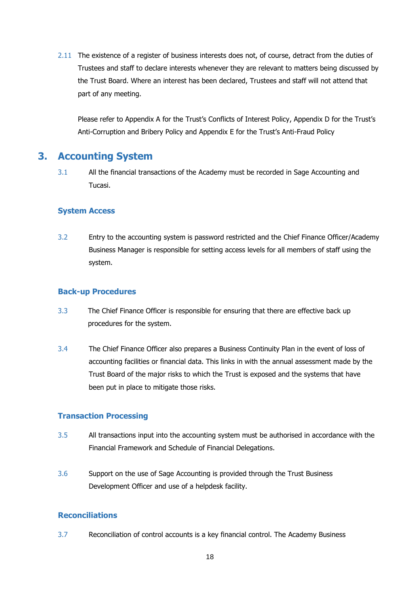2.11 The existence of a register of business interests does not, of course, detract from the duties of Trustees and staff to declare interests whenever they are relevant to matters being discussed by the Trust Board. Where an interest has been declared, Trustees and staff will not attend that part of any meeting.

Please refer to Appendix A for the Trust's Conflicts of Interest Policy, Appendix D for the Trust's Anti-Corruption and Bribery Policy and Appendix E for the Trust's Anti-Fraud Policy

### **3. Accounting System**

3.1 All the financial transactions of the Academy must be recorded in Sage Accounting and Tucasi.

#### **System Access**

3.2 Entry to the accounting system is password restricted and the Chief Finance Officer/Academy Business Manager is responsible for setting access levels for all members of staff using the system.

#### **Back-up Procedures**

- 3.3 The Chief Finance Officer is responsible for ensuring that there are effective back up procedures for the system.
- 3.4 The Chief Finance Officer also prepares a Business Continuity Plan in the event of loss of accounting facilities or financial data. This links in with the annual assessment made by the Trust Board of the major risks to which the Trust is exposed and the systems that have been put in place to mitigate those risks.

#### **Transaction Processing**

- 3.5 All transactions input into the accounting system must be authorised in accordance with the Financial Framework and Schedule of Financial Delegations.
- 3.6 Support on the use of Sage Accounting is provided through the Trust Business Development Officer and use of a helpdesk facility.

#### **Reconciliations**

3.7 Reconciliation of control accounts is a key financial control. The Academy Business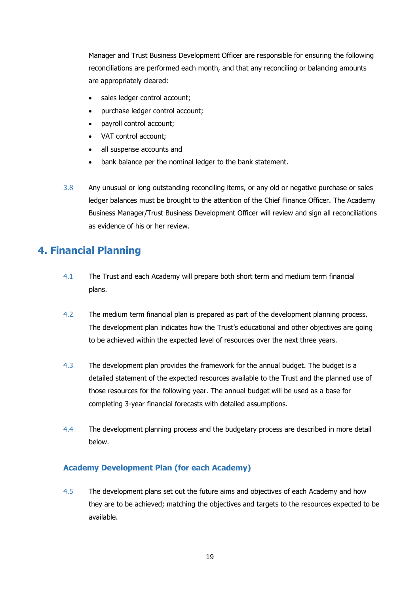Manager and Trust Business Development Officer are responsible for ensuring the following reconciliations are performed each month, and that any reconciling or balancing amounts are appropriately cleared:

- sales ledger control account;
- purchase ledger control account;
- payroll control account;
- VAT control account;
- all suspense accounts and
- bank balance per the nominal ledger to the bank statement.
- 3.8 Any unusual or long outstanding reconciling items, or any old or negative purchase or sales ledger balances must be brought to the attention of the Chief Finance Officer. The Academy Business Manager/Trust Business Development Officer will review and sign all reconciliations as evidence of his or her review.

### **4. Financial Planning**

- 4.1 The Trust and each Academy will prepare both short term and medium term financial plans.
- 4.2 The medium term financial plan is prepared as part of the development planning process. The development plan indicates how the Trust's educational and other objectives are going to be achieved within the expected level of resources over the next three years.
- 4.3 The development plan provides the framework for the annual budget. The budget is a detailed statement of the expected resources available to the Trust and the planned use of those resources for the following year. The annual budget will be used as a base for completing 3-year financial forecasts with detailed assumptions.
- 4.4 The development planning process and the budgetary process are described in more detail below.

#### **Academy Development Plan (for each Academy)**

4.5 The development plans set out the future aims and objectives of each Academy and how they are to be achieved; matching the objectives and targets to the resources expected to be available.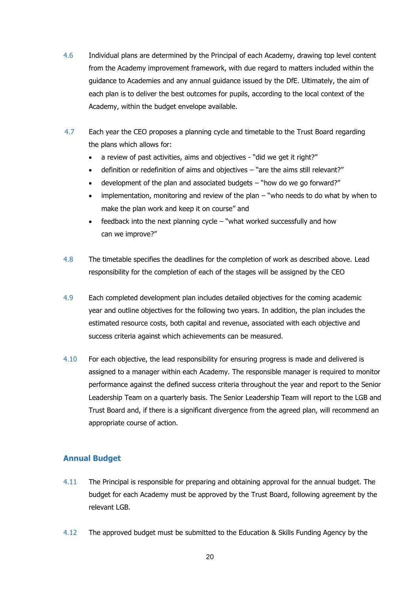- 4.6 Individual plans are determined by the Principal of each Academy, drawing top level content from the Academy improvement framework, with due regard to matters included within the guidance to Academies and any annual guidance issued by the DfE. Ultimately, the aim of each plan is to deliver the best outcomes for pupils, according to the local context of the Academy, within the budget envelope available.
- 4.7 Each year the CEO proposes a planning cycle and timetable to the Trust Board regarding the plans which allows for:
	- a review of past activities, aims and objectives "did we get it right?"
	- definition or redefinition of aims and objectives "are the aims still relevant?"
	- development of the plan and associated budgets "how do we go forward?"
	- implementation, monitoring and review of the plan "who needs to do what by when to make the plan work and keep it on course" and
	- feedback into the next planning cycle "what worked successfully and how can we improve?"
- 4.8 The timetable specifies the deadlines for the completion of work as described above. Lead responsibility for the completion of each of the stages will be assigned by the CEO
- 4.9 Each completed development plan includes detailed objectives for the coming academic year and outline objectives for the following two years. In addition, the plan includes the estimated resource costs, both capital and revenue, associated with each objective and success criteria against which achievements can be measured.
- 4.10 For each objective, the lead responsibility for ensuring progress is made and delivered is assigned to a manager within each Academy. The responsible manager is required to monitor performance against the defined success criteria throughout the year and report to the Senior Leadership Team on a quarterly basis. The Senior Leadership Team will report to the LGB and Trust Board and, if there is a significant divergence from the agreed plan, will recommend an appropriate course of action.

#### **Annual Budget**

- 4.11 The Principal is responsible for preparing and obtaining approval for the annual budget. The budget for each Academy must be approved by the Trust Board, following agreement by the relevant LGB.
- 4.12 The approved budget must be submitted to the Education & Skills Funding Agency by the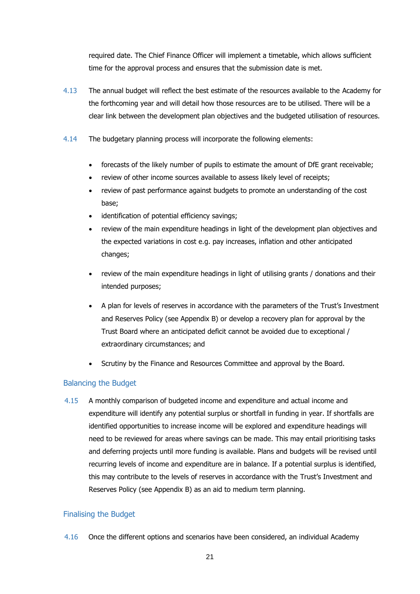required date. The Chief Finance Officer will implement a timetable, which allows sufficient time for the approval process and ensures that the submission date is met.

- 4.13 The annual budget will reflect the best estimate of the resources available to the Academy for the forthcoming year and will detail how those resources are to be utilised. There will be a clear link between the development plan objectives and the budgeted utilisation of resources.
- 4.14 The budgetary planning process will incorporate the following elements:
	- forecasts of the likely number of pupils to estimate the amount of DfE grant receivable;
	- review of other income sources available to assess likely level of receipts;
	- review of past performance against budgets to promote an understanding of the cost base;
	- identification of potential efficiency savings;
	- review of the main expenditure headings in light of the development plan objectives and the expected variations in cost e.g. pay increases, inflation and other anticipated changes;
	- review of the main expenditure headings in light of utilising grants / donations and their intended purposes;
	- A plan for levels of reserves in accordance with the parameters of the Trust's Investment and Reserves Policy (see Appendix B) or develop a recovery plan for approval by the Trust Board where an anticipated deficit cannot be avoided due to exceptional / extraordinary circumstances; and
	- Scrutiny by the Finance and Resources Committee and approval by the Board.

#### Balancing the Budget

 4.15 A monthly comparison of budgeted income and expenditure and actual income and expenditure will identify any potential surplus or shortfall in funding in year. If shortfalls are identified opportunities to increase income will be explored and expenditure headings will need to be reviewed for areas where savings can be made. This may entail prioritising tasks and deferring projects until more funding is available. Plans and budgets will be revised until recurring levels of income and expenditure are in balance. If a potential surplus is identified, this may contribute to the levels of reserves in accordance with the Trust's Investment and Reserves Policy (see Appendix B) as an aid to medium term planning.

#### Finalising the Budget

4.16 Once the different options and scenarios have been considered, an individual Academy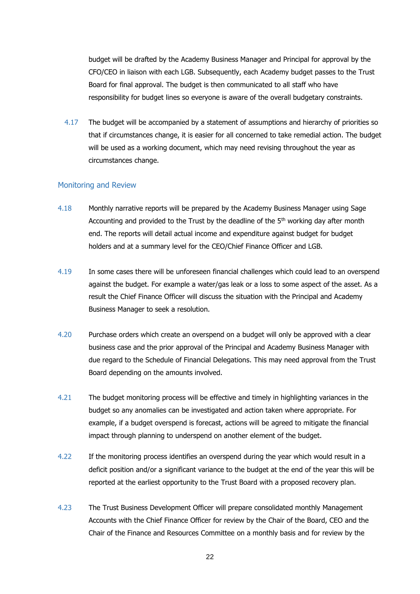budget will be drafted by the Academy Business Manager and Principal for approval by the CFO/CEO in liaison with each LGB. Subsequently, each Academy budget passes to the Trust Board for final approval. The budget is then communicated to all staff who have responsibility for budget lines so everyone is aware of the overall budgetary constraints.

 4.17 The budget will be accompanied by a statement of assumptions and hierarchy of priorities so that if circumstances change, it is easier for all concerned to take remedial action. The budget will be used as a working document, which may need revising throughout the year as circumstances change.

#### Monitoring and Review

- 4.18 Monthly narrative reports will be prepared by the Academy Business Manager using Sage Accounting and provided to the Trust by the deadline of the  $5<sup>th</sup>$  working day after month end. The reports will detail actual income and expenditure against budget for budget holders and at a summary level for the CEO/Chief Finance Officer and LGB.
- 4.19 In some cases there will be unforeseen financial challenges which could lead to an overspend against the budget. For example a water/gas leak or a loss to some aspect of the asset. As a result the Chief Finance Officer will discuss the situation with the Principal and Academy Business Manager to seek a resolution.
- 4.20 Purchase orders which create an overspend on a budget will only be approved with a clear business case and the prior approval of the Principal and Academy Business Manager with due regard to the Schedule of Financial Delegations. This may need approval from the Trust Board depending on the amounts involved.
- 4.21 The budget monitoring process will be effective and timely in highlighting variances in the budget so any anomalies can be investigated and action taken where appropriate. For example, if a budget overspend is forecast, actions will be agreed to mitigate the financial impact through planning to underspend on another element of the budget.
- 4.22 If the monitoring process identifies an overspend during the year which would result in a deficit position and/or a significant variance to the budget at the end of the year this will be reported at the earliest opportunity to the Trust Board with a proposed recovery plan.
- 4.23 The Trust Business Development Officer will prepare consolidated monthly Management Accounts with the Chief Finance Officer for review by the Chair of the Board, CEO and the Chair of the Finance and Resources Committee on a monthly basis and for review by the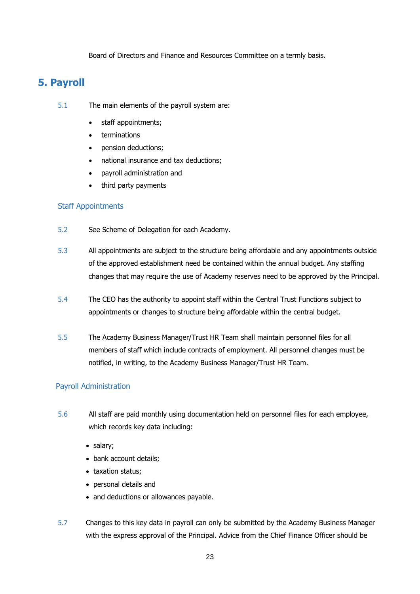Board of Directors and Finance and Resources Committee on a termly basis.

## **5. Payroll**

- 5.1 The main elements of the payroll system are:
	- staff appointments;
	- terminations
	- pension deductions;
	- national insurance and tax deductions;
	- payroll administration and
	- third party payments

#### Staff Appointments

- 5.2 See Scheme of Delegation for each Academy.
- 5.3 All appointments are subject to the structure being affordable and any appointments outside of the approved establishment need be contained within the annual budget. Any staffing changes that may require the use of Academy reserves need to be approved by the Principal.
- 5.4 The CEO has the authority to appoint staff within the Central Trust Functions subject to appointments or changes to structure being affordable within the central budget.
- 5.5 The Academy Business Manager/Trust HR Team shall maintain personnel files for all members of staff which include contracts of employment. All personnel changes must be notified, in writing, to the Academy Business Manager/Trust HR Team.

#### Payroll Administration

- 5.6 All staff are paid monthly using documentation held on personnel files for each employee, which records key data including:
	- salary;
	- bank account details;
	- taxation status;
	- personal details and
	- and deductions or allowances payable.
- 5.7 Changes to this key data in payroll can only be submitted by the Academy Business Manager with the express approval of the Principal. Advice from the Chief Finance Officer should be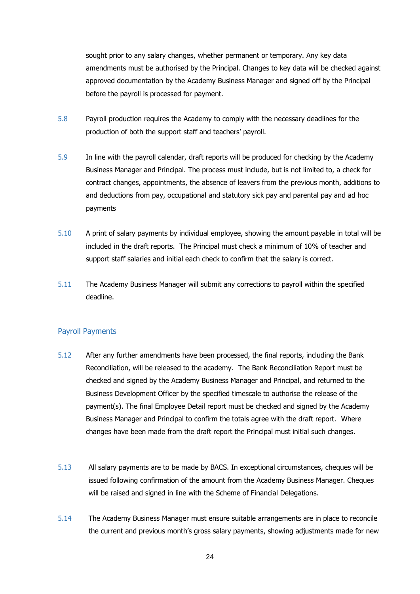sought prior to any salary changes, whether permanent or temporary. Any key data amendments must be authorised by the Principal. Changes to key data will be checked against approved documentation by the Academy Business Manager and signed off by the Principal before the payroll is processed for payment.

- 5.8 Payroll production requires the Academy to comply with the necessary deadlines for the production of both the support staff and teachers' payroll.
- 5.9 In line with the payroll calendar, draft reports will be produced for checking by the Academy Business Manager and Principal. The process must include, but is not limited to, a check for contract changes, appointments, the absence of leavers from the previous month, additions to and deductions from pay, occupational and statutory sick pay and parental pay and ad hoc payments
- 5.10 A print of salary payments by individual employee, showing the amount payable in total will be included in the draft reports. The Principal must check a minimum of 10% of teacher and support staff salaries and initial each check to confirm that the salary is correct.
- 5.11 The Academy Business Manager will submit any corrections to payroll within the specified deadline.

#### Payroll Payments

- 5.12 After any further amendments have been processed, the final reports, including the Bank Reconciliation, will be released to the academy. The Bank Reconciliation Report must be checked and signed by the Academy Business Manager and Principal, and returned to the Business Development Officer by the specified timescale to authorise the release of the payment(s). The final Employee Detail report must be checked and signed by the Academy Business Manager and Principal to confirm the totals agree with the draft report. Where changes have been made from the draft report the Principal must initial such changes.
- 5.13 All salary payments are to be made by BACS. In exceptional circumstances, cheques will be issued following confirmation of the amount from the Academy Business Manager. Cheques will be raised and signed in line with the Scheme of Financial Delegations.
- 5.14 The Academy Business Manager must ensure suitable arrangements are in place to reconcile the current and previous month's gross salary payments, showing adjustments made for new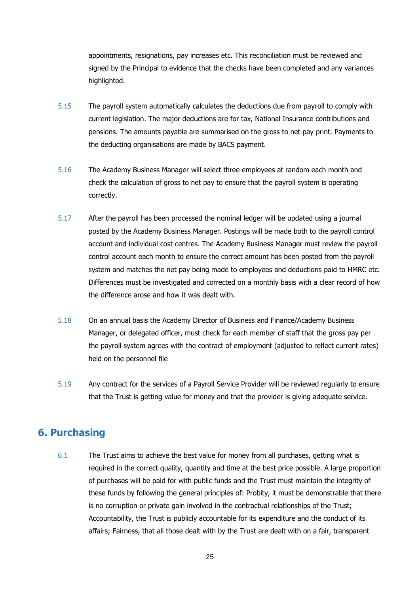appointments, resignations, pay increases etc. This reconciliation must be reviewed and signed by the Principal to evidence that the checks have been completed and any variances highlighted.

- 5.15 The payroll system automatically calculates the deductions due from payroll to comply with current legislation. The major deductions are for tax, National Insurance contributions and pensions. The amounts payable are summarised on the gross to net pay print. Payments to the deducting organisations are made by BACS payment.
- 5.16 The Academy Business Manager will select three employees at random each month and check the calculation of gross to net pay to ensure that the payroll system is operating correctly.
- 5.17 After the payroll has been processed the nominal ledger will be updated using a journal posted by the Academy Business Manager. Postings will be made both to the payroll control account and individual cost centres. The Academy Business Manager must review the payroll control account each month to ensure the correct amount has been posted from the payroll system and matches the net pay being made to employees and deductions paid to HMRC etc. Differences must be investigated and corrected on a monthly basis with a clear record of how the difference arose and how it was dealt with.
- 5.18 On an annual basis the Academy Director of Business and Finance/Academy Business Manager, or delegated officer, must check for each member of staff that the gross pay per the payroll system agrees with the contract of employment (adjusted to reflect current rates) held on the personnel file
- 5.19 Any contract for the services of a Payroll Service Provider will be reviewed regularly to ensure that the Trust is getting value for money and that the provider is giving adequate service.

### **6. Purchasing**

6.1 The Trust aims to achieve the best value for money from all purchases, getting what is required in the correct quality, quantity and time at the best price possible. A large proportion of purchases will be paid for with public funds and the Trust must maintain the integrity of these funds by following the general principles of: Probity, it must be demonstrable that there is no corruption or private gain involved in the contractual relationships of the Trust; Accountability, the Trust is publicly accountable for its expenditure and the conduct of its affairs; Fairness, that all those dealt with by the Trust are dealt with on a fair, transparent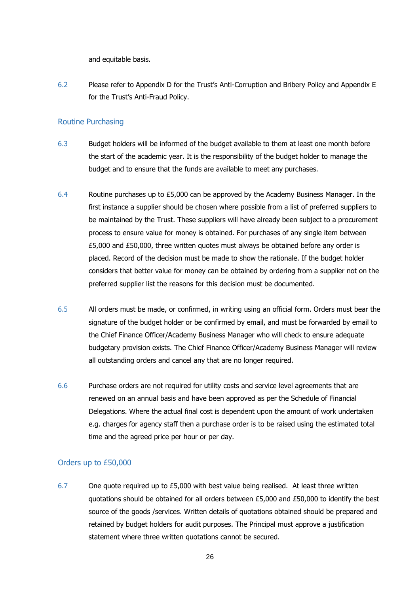and equitable basis.

6.2 Please refer to Appendix D for the Trust's Anti-Corruption and Bribery Policy and Appendix E for the Trust's Anti-Fraud Policy.

#### Routine Purchasing

- 6.3 Budget holders will be informed of the budget available to them at least one month before the start of the academic year. It is the responsibility of the budget holder to manage the budget and to ensure that the funds are available to meet any purchases.
- 6.4 Routine purchases up to £5,000 can be approved by the Academy Business Manager. In the first instance a supplier should be chosen where possible from a list of preferred suppliers to be maintained by the Trust. These suppliers will have already been subject to a procurement process to ensure value for money is obtained. For purchases of any single item between £5,000 and £50,000, three written quotes must always be obtained before any order is placed. Record of the decision must be made to show the rationale. If the budget holder considers that better value for money can be obtained by ordering from a supplier not on the preferred supplier list the reasons for this decision must be documented.
- 6.5 All orders must be made, or confirmed, in writing using an official form. Orders must bear the signature of the budget holder or be confirmed by email, and must be forwarded by email to the Chief Finance Officer/Academy Business Manager who will check to ensure adequate budgetary provision exists. The Chief Finance Officer/Academy Business Manager will review all outstanding orders and cancel any that are no longer required.
- 6.6 Purchase orders are not required for utility costs and service level agreements that are renewed on an annual basis and have been approved as per the Schedule of Financial Delegations. Where the actual final cost is dependent upon the amount of work undertaken e.g. charges for agency staff then a purchase order is to be raised using the estimated total time and the agreed price per hour or per day.

#### Orders up to £50,000

6.7 One quote required up to £5,000 with best value being realised. At least three written quotations should be obtained for all orders between £5,000 and £50,000 to identify the best source of the goods /services. Written details of quotations obtained should be prepared and retained by budget holders for audit purposes. The Principal must approve a justification statement where three written quotations cannot be secured.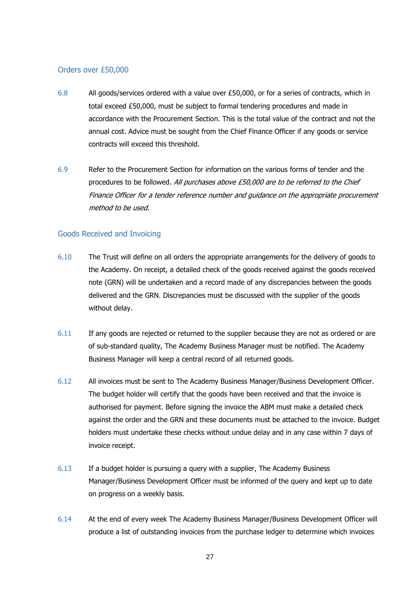#### Orders over £50,000

- 6.8 All goods/services ordered with a value over £50,000, or for a series of contracts, which in total exceed £50,000, must be subject to formal tendering procedures and made in accordance with the Procurement Section. This is the total value of the contract and not the annual cost. Advice must be sought from the Chief Finance Officer if any goods or service contracts will exceed this threshold.
- 6.9 Refer to the Procurement Section for information on the various forms of tender and the procedures to be followed. All purchases above £50,000 are to be referred to the Chief Finance Officer for a tender reference number and guidance on the appropriate procurement method to be used.

#### Goods Received and Invoicing

- 6.10 The Trust will define on all orders the appropriate arrangements for the delivery of goods to the Academy. On receipt, a detailed check of the goods received against the goods received note (GRN) will be undertaken and a record made of any discrepancies between the goods delivered and the GRN. Discrepancies must be discussed with the supplier of the goods without delay.
- 6.11 If any goods are rejected or returned to the supplier because they are not as ordered or are of sub-standard quality, The Academy Business Manager must be notified. The Academy Business Manager will keep a central record of all returned goods.
- 6.12 All invoices must be sent to The Academy Business Manager/Business Development Officer. The budget holder will certify that the goods have been received and that the invoice is authorised for payment. Before signing the invoice the ABM must make a detailed check against the order and the GRN and these documents must be attached to the invoice. Budget holders must undertake these checks without undue delay and in any case within 7 days of invoice receipt.
- 6.13 If a budget holder is pursuing a query with a supplier, The Academy Business Manager/Business Development Officer must be informed of the query and kept up to date on progress on a weekly basis.
- 6.14 At the end of every week The Academy Business Manager/Business Development Officer will produce a list of outstanding invoices from the purchase ledger to determine which invoices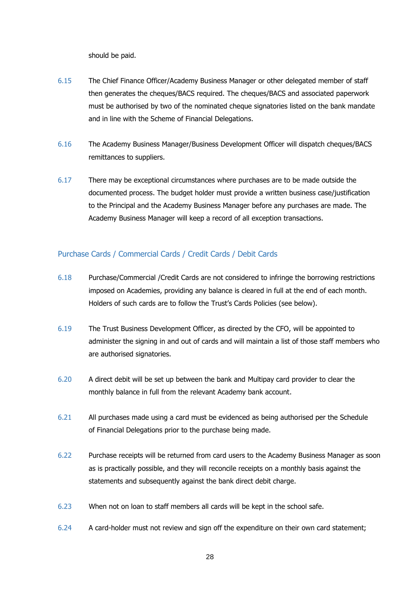should be paid.

- 6.15 The Chief Finance Officer/Academy Business Manager or other delegated member of staff then generates the cheques/BACS required. The cheques/BACS and associated paperwork must be authorised by two of the nominated cheque signatories listed on the bank mandate and in line with the Scheme of Financial Delegations.
- 6.16 The Academy Business Manager/Business Development Officer will dispatch cheques/BACS remittances to suppliers.
- 6.17 There may be exceptional circumstances where purchases are to be made outside the documented process. The budget holder must provide a written business case/justification to the Principal and the Academy Business Manager before any purchases are made. The Academy Business Manager will keep a record of all exception transactions.

#### Purchase Cards / Commercial Cards / Credit Cards / Debit Cards

- 6.18 Purchase/Commercial /Credit Cards are not considered to infringe the borrowing restrictions imposed on Academies, providing any balance is cleared in full at the end of each month. Holders of such cards are to follow the Trust's Cards Policies (see below).
- 6.19 The Trust Business Development Officer, as directed by the CFO, will be appointed to administer the signing in and out of cards and will maintain a list of those staff members who are authorised signatories.
- 6.20 A direct debit will be set up between the bank and Multipay card provider to clear the monthly balance in full from the relevant Academy bank account.
- 6.21 All purchases made using a card must be evidenced as being authorised per the Schedule of Financial Delegations prior to the purchase being made.
- 6.22 Purchase receipts will be returned from card users to the Academy Business Manager as soon as is practically possible, and they will reconcile receipts on a monthly basis against the statements and subsequently against the bank direct debit charge.
- 6.23 When not on loan to staff members all cards will be kept in the school safe.
- 6.24 A card-holder must not review and sign off the expenditure on their own card statement;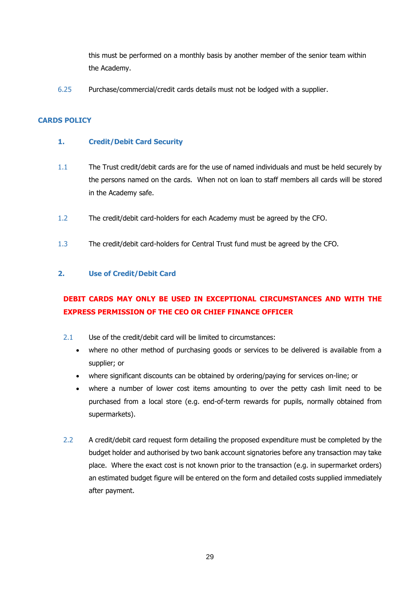this must be performed on a monthly basis by another member of the senior team within the Academy.

6.25 Purchase/commercial/credit cards details must not be lodged with a supplier.

#### **CARDS POLICY**

#### **1. Credit/Debit Card Security**

- 1.1 The Trust credit/debit cards are for the use of named individuals and must be held securely by the persons named on the cards. When not on loan to staff members all cards will be stored in the Academy safe.
- 1.2 The credit/debit card-holders for each Academy must be agreed by the CFO.
- 1.3 The credit/debit card-holders for Central Trust fund must be agreed by the CFO.

#### **2. Use of Credit/Debit Card**

### **DEBIT CARDS MAY ONLY BE USED IN EXCEPTIONAL CIRCUMSTANCES AND WITH THE EXPRESS PERMISSION OF THE CEO OR CHIEF FINANCE OFFICER**

- 2.1 Use of the credit/debit card will be limited to circumstances:
	- where no other method of purchasing goods or services to be delivered is available from a supplier; or
	- where significant discounts can be obtained by ordering/paying for services on-line; or
	- where a number of lower cost items amounting to over the petty cash limit need to be purchased from a local store (e.g. end-of-term rewards for pupils, normally obtained from supermarkets).
- 2.2 A credit/debit card request form detailing the proposed expenditure must be completed by the budget holder and authorised by two bank account signatories before any transaction may take place. Where the exact cost is not known prior to the transaction (e.g. in supermarket orders) an estimated budget figure will be entered on the form and detailed costs supplied immediately after payment.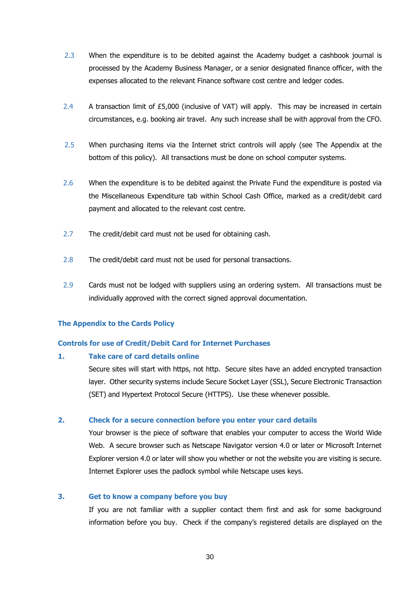- 2.3 When the expenditure is to be debited against the Academy budget a cashbook journal is processed by the Academy Business Manager, or a senior designated finance officer, with the expenses allocated to the relevant Finance software cost centre and ledger codes.
- 2.4 A transaction limit of £5,000 (inclusive of VAT) will apply. This may be increased in certain circumstances, e.g. booking air travel. Any such increase shall be with approval from the CFO.
- 2.5 When purchasing items via the Internet strict controls will apply (see The Appendix at the bottom of this policy). All transactions must be done on school computer systems.
- 2.6 When the expenditure is to be debited against the Private Fund the expenditure is posted via the Miscellaneous Expenditure tab within School Cash Office, marked as a credit/debit card payment and allocated to the relevant cost centre.
- 2.7 The credit/debit card must not be used for obtaining cash.
- 2.8 The credit/debit card must not be used for personal transactions.
- 2.9 Cards must not be lodged with suppliers using an ordering system. All transactions must be individually approved with the correct signed approval documentation.

#### **The Appendix to the Cards Policy**

#### **Controls for use of Credit/Debit Card for Internet Purchases**

#### **1. Take care of card details online**

Secure sites will start with https, not http. Secure sites have an added encrypted transaction layer. Other security systems include Secure Socket Layer (SSL), Secure Electronic Transaction (SET) and Hypertext Protocol Secure (HTTPS). Use these whenever possible.

#### **2. Check for a secure connection before you enter your card details**

Your browser is the piece of software that enables your computer to access the World Wide Web. A secure browser such as Netscape Navigator version 4.0 or later or Microsoft Internet Explorer version 4.0 or later will show you whether or not the website you are visiting is secure. Internet Explorer uses the padlock symbol while Netscape uses keys.

#### **3. Get to know a company before you buy**

If you are not familiar with a supplier contact them first and ask for some background information before you buy. Check if the company's registered details are displayed on the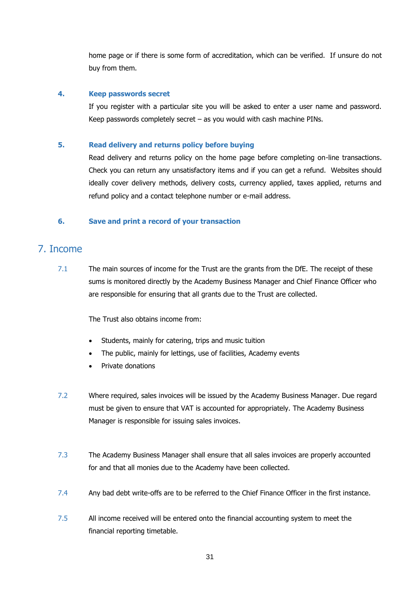home page or if there is some form of accreditation, which can be verified. If unsure do not buy from them.

#### **4. Keep passwords secret**

If you register with a particular site you will be asked to enter a user name and password. Keep passwords completely secret  $-$  as you would with cash machine PINs.

#### **5. Read delivery and returns policy before buying**

Read delivery and returns policy on the home page before completing on-line transactions. Check you can return any unsatisfactory items and if you can get a refund. Websites should ideally cover delivery methods, delivery costs, currency applied, taxes applied, returns and refund policy and a contact telephone number or e-mail address.

#### **6. Save and print a record of your transaction**

### 7. Income

7.1 The main sources of income for the Trust are the grants from the DfE. The receipt of these sums is monitored directly by the Academy Business Manager and Chief Finance Officer who are responsible for ensuring that all grants due to the Trust are collected.

The Trust also obtains income from:

- Students, mainly for catering, trips and music tuition
- The public, mainly for lettings, use of facilities, Academy events
- Private donations
- 7.2 Where required, sales invoices will be issued by the Academy Business Manager. Due regard must be given to ensure that VAT is accounted for appropriately. The Academy Business Manager is responsible for issuing sales invoices.
- 7.3 The Academy Business Manager shall ensure that all sales invoices are properly accounted for and that all monies due to the Academy have been collected.
- 7.4 Any bad debt write-offs are to be referred to the Chief Finance Officer in the first instance.
- 7.5 All income received will be entered onto the financial accounting system to meet the financial reporting timetable.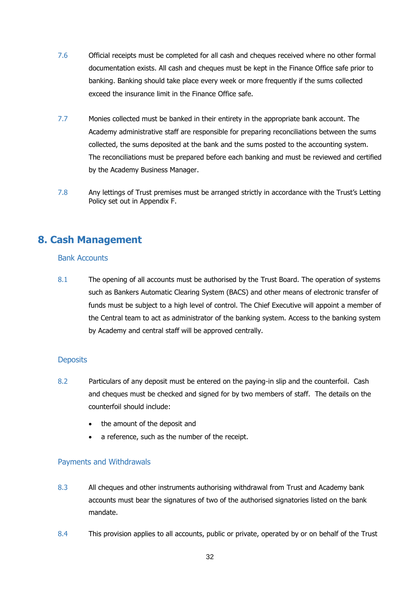- 7.6 Official receipts must be completed for all cash and cheques received where no other formal documentation exists. All cash and cheques must be kept in the Finance Office safe prior to banking. Banking should take place every week or more frequently if the sums collected exceed the insurance limit in the Finance Office safe.
- 7.7 Monies collected must be banked in their entirety in the appropriate bank account. The Academy administrative staff are responsible for preparing reconciliations between the sums collected, the sums deposited at the bank and the sums posted to the accounting system. The reconciliations must be prepared before each banking and must be reviewed and certified by the Academy Business Manager.
- 7.8 Any lettings of Trust premises must be arranged strictly in accordance with the Trust's Letting Policy set out in Appendix F.

### **8. Cash Management**

#### Bank Accounts

8.1 The opening of all accounts must be authorised by the Trust Board. The operation of systems such as Bankers Automatic Clearing System (BACS) and other means of electronic transfer of funds must be subject to a high level of control. The Chief Executive will appoint a member of the Central team to act as administrator of the banking system. Access to the banking system by Academy and central staff will be approved centrally.

#### **Deposits**

- 8.2 Particulars of any deposit must be entered on the paying-in slip and the counterfoil. Cash and cheques must be checked and signed for by two members of staff. The details on the counterfoil should include:
	- the amount of the deposit and
	- a reference, such as the number of the receipt.

#### Payments and Withdrawals

- 8.3 All cheques and other instruments authorising withdrawal from Trust and Academy bank accounts must bear the signatures of two of the authorised signatories listed on the bank mandate.
- 8.4 This provision applies to all accounts, public or private, operated by or on behalf of the Trust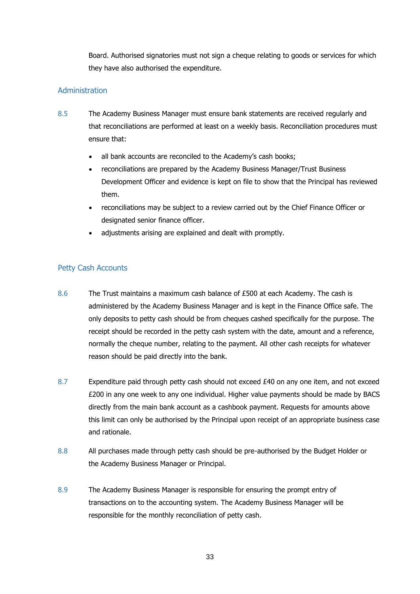Board. Authorised signatories must not sign a cheque relating to goods or services for which they have also authorised the expenditure.

#### Administration

- 8.5 The Academy Business Manager must ensure bank statements are received regularly and that reconciliations are performed at least on a weekly basis. Reconciliation procedures must ensure that:
	- all bank accounts are reconciled to the Academy's cash books;
	- reconciliations are prepared by the Academy Business Manager/Trust Business Development Officer and evidence is kept on file to show that the Principal has reviewed them.
	- reconciliations may be subject to a review carried out by the Chief Finance Officer or designated senior finance officer.
	- adjustments arising are explained and dealt with promptly.

#### Petty Cash Accounts

- 8.6 The Trust maintains a maximum cash balance of £500 at each Academy. The cash is administered by the Academy Business Manager and is kept in the Finance Office safe. The only deposits to petty cash should be from cheques cashed specifically for the purpose. The receipt should be recorded in the petty cash system with the date, amount and a reference, normally the cheque number, relating to the payment. All other cash receipts for whatever reason should be paid directly into the bank.
- 8.7 Expenditure paid through petty cash should not exceed £40 on any one item, and not exceed £200 in any one week to any one individual. Higher value payments should be made by BACS directly from the main bank account as a cashbook payment. Requests for amounts above this limit can only be authorised by the Principal upon receipt of an appropriate business case and rationale.
- 8.8 All purchases made through petty cash should be pre-authorised by the Budget Holder or the Academy Business Manager or Principal.
- 8.9 The Academy Business Manager is responsible for ensuring the prompt entry of transactions on to the accounting system. The Academy Business Manager will be responsible for the monthly reconciliation of petty cash.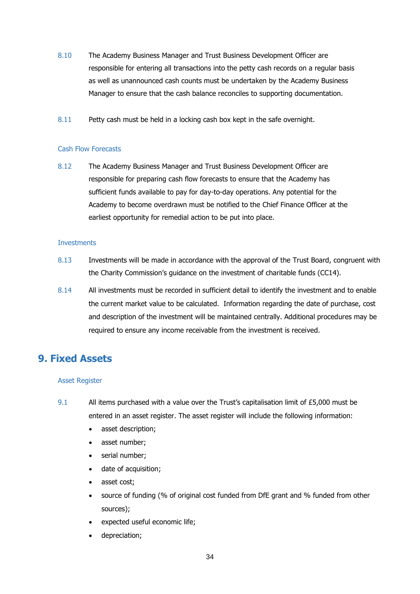- 8.10 The Academy Business Manager and Trust Business Development Officer are responsible for entering all transactions into the petty cash records on a regular basis as well as unannounced cash counts must be undertaken by the Academy Business Manager to ensure that the cash balance reconciles to supporting documentation.
- 8.11 Petty cash must be held in a locking cash box kept in the safe overnight.

#### Cash Flow Forecasts

8.12 The Academy Business Manager and Trust Business Development Officer are responsible for preparing cash flow forecasts to ensure that the Academy has sufficient funds available to pay for day-to-day operations. Any potential for the Academy to become overdrawn must be notified to the Chief Finance Officer at the earliest opportunity for remedial action to be put into place.

#### **Investments**

- 8.13 Investments will be made in accordance with the approval of the Trust Board, congruent with the Charity Commission's guidance on the investment of charitable funds (CC14).
- 8.14 All investments must be recorded in sufficient detail to identify the investment and to enable the current market value to be calculated. Information regarding the date of purchase, cost and description of the investment will be maintained centrally. Additional procedures may be required to ensure any income receivable from the investment is received.

### **9. Fixed Assets**

#### Asset Register

- 9.1 All items purchased with a value over the Trust's capitalisation limit of £5,000 must be entered in an asset register. The asset register will include the following information:
	- asset description;
	- asset number;
	- serial number;
	- date of acquisition;
	- asset cost;
	- source of funding (% of original cost funded from DfE grant and % funded from other sources);
	- expected useful economic life;
	- depreciation;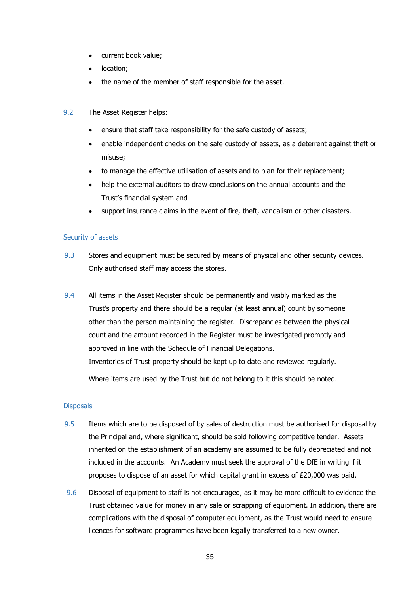- current book value;
- location;
- the name of the member of staff responsible for the asset.
- 9.2 The Asset Register helps:
	- ensure that staff take responsibility for the safe custody of assets;
	- enable independent checks on the safe custody of assets, as a deterrent against theft or misuse;
	- to manage the effective utilisation of assets and to plan for their replacement;
	- help the external auditors to draw conclusions on the annual accounts and the Trust's financial system and
	- support insurance claims in the event of fire, theft, vandalism or other disasters.

#### Security of assets

- 9.3 Stores and equipment must be secured by means of physical and other security devices. Only authorised staff may access the stores.
- 9.4 All items in the Asset Register should be permanently and visibly marked as the Trust's property and there should be a regular (at least annual) count by someone other than the person maintaining the register. Discrepancies between the physical count and the amount recorded in the Register must be investigated promptly and approved in line with the Schedule of Financial Delegations. Inventories of Trust property should be kept up to date and reviewed regularly.

Where items are used by the Trust but do not belong to it this should be noted.

#### **Disposals**

- 9.5 Items which are to be disposed of by sales of destruction must be authorised for disposal by the Principal and, where significant, should be sold following competitive tender. Assets inherited on the establishment of an academy are assumed to be fully depreciated and not included in the accounts. An Academy must seek the approval of the DfE in writing if it proposes to dispose of an asset for which capital grant in excess of £20,000 was paid.
- 9.6 Disposal of equipment to staff is not encouraged, as it may be more difficult to evidence the Trust obtained value for money in any sale or scrapping of equipment. In addition, there are complications with the disposal of computer equipment, as the Trust would need to ensure licences for software programmes have been legally transferred to a new owner.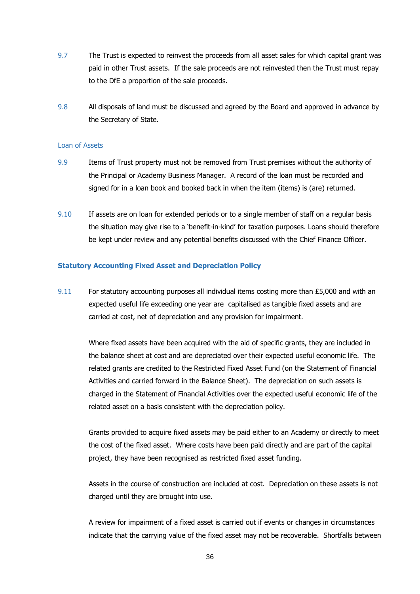- 9.7 The Trust is expected to reinvest the proceeds from all asset sales for which capital grant was paid in other Trust assets. If the sale proceeds are not reinvested then the Trust must repay to the DfE a proportion of the sale proceeds.
- 9.8 All disposals of land must be discussed and agreed by the Board and approved in advance by the Secretary of State.

#### Loan of Assets

- 9.9 Items of Trust property must not be removed from Trust premises without the authority of the Principal or Academy Business Manager. A record of the loan must be recorded and signed for in a loan book and booked back in when the item (items) is (are) returned.
- 9.10 If assets are on loan for extended periods or to a single member of staff on a regular basis the situation may give rise to a 'benefit-in-kind' for taxation purposes. Loans should therefore be kept under review and any potential benefits discussed with the Chief Finance Officer.

#### **Statutory Accounting Fixed Asset and Depreciation Policy**

9.11 For statutory accounting purposes all individual items costing more than  $£5,000$  and with an expected useful life exceeding one year are capitalised as tangible fixed assets and are carried at cost, net of depreciation and any provision for impairment.

Where fixed assets have been acquired with the aid of specific grants, they are included in the balance sheet at cost and are depreciated over their expected useful economic life. The related grants are credited to the Restricted Fixed Asset Fund (on the Statement of Financial Activities and carried forward in the Balance Sheet). The depreciation on such assets is charged in the Statement of Financial Activities over the expected useful economic life of the related asset on a basis consistent with the depreciation policy.

Grants provided to acquire fixed assets may be paid either to an Academy or directly to meet the cost of the fixed asset. Where costs have been paid directly and are part of the capital project, they have been recognised as restricted fixed asset funding.

Assets in the course of construction are included at cost. Depreciation on these assets is not charged until they are brought into use.

A review for impairment of a fixed asset is carried out if events or changes in circumstances indicate that the carrying value of the fixed asset may not be recoverable. Shortfalls between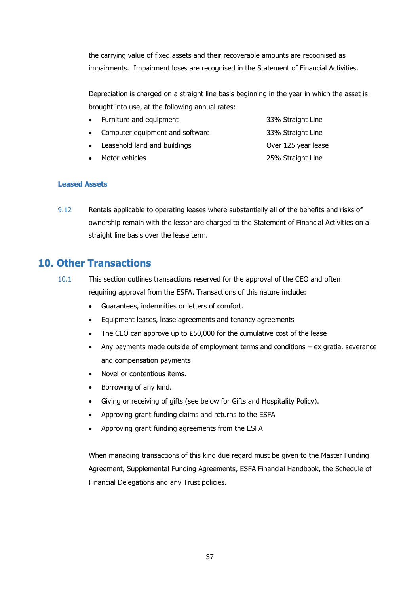the carrying value of fixed assets and their recoverable amounts are recognised as impairments. Impairment loses are recognised in the Statement of Financial Activities.

Depreciation is charged on a straight line basis beginning in the year in which the asset is brought into use, at the following annual rates:

- Furniture and equipment 33% Straight Line
- Computer equipment and software 33% Straight Line
- Leasehold land and buildings **Constructed August 2018** Over 125 year lease
- Motor vehicles 25% Straight Line

- **Leased Assets**
- 9.12 Rentals applicable to operating leases where substantially all of the benefits and risks of ownership remain with the lessor are charged to the Statement of Financial Activities on a straight line basis over the lease term.

## **10. Other Transactions**

- 10.1 This section outlines transactions reserved for the approval of the CEO and often requiring approval from the ESFA. Transactions of this nature include:
	- Guarantees, indemnities or letters of comfort.
	- Equipment leases, lease agreements and tenancy agreements
	- The CEO can approve up to £50,000 for the cumulative cost of the lease
	- Any payments made outside of employment terms and conditions ex gratia, severance and compensation payments
	- Novel or contentious items.
	- Borrowing of any kind.
	- Giving or receiving of gifts (see below for Gifts and Hospitality Policy).
	- Approving grant funding claims and returns to the ESFA
	- Approving grant funding agreements from the ESFA

When managing transactions of this kind due regard must be given to the Master Funding Agreement, Supplemental Funding Agreements, ESFA Financial Handbook, the Schedule of Financial Delegations and any Trust policies.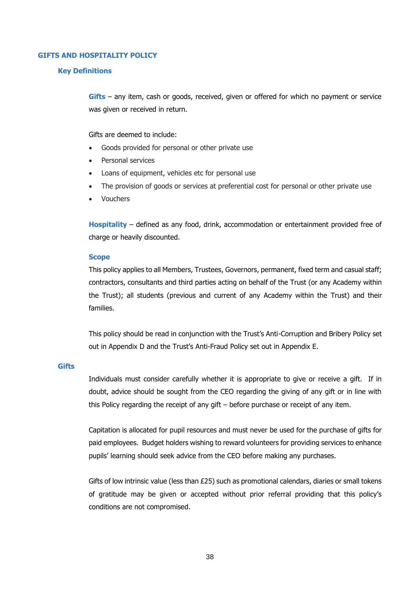#### **GIFTS AND HOSPITALITY POLICY**

#### **Key Definitions**

**Gifts** – any item, cash or goods, received, given or offered for which no payment or service was given or received in return.

#### Gifts are deemed to include:

- Goods provided for personal or other private use
- Personal services
- Loans of equipment, vehicles etc for personal use
- The provision of goods or services at preferential cost for personal or other private use
- Vouchers

**Hospitality** – defined as any food, drink, accommodation or entertainment provided free of charge or heavily discounted.

#### **Scope**

This policy applies to all Members, Trustees, Governors, permanent, fixed term and casual staff; contractors, consultants and third parties acting on behalf of the Trust (or any Academy within the Trust); all students (previous and current of any Academy within the Trust) and their families.

This policy should be read in conjunction with the Trust's Anti-Corruption and Bribery Policy set out in Appendix D and the Trust's Anti-Fraud Policy set out in Appendix E.

#### **Gifts**

Individuals must consider carefully whether it is appropriate to give or receive a gift. If in doubt, advice should be sought from the CEO regarding the giving of any gift or in line with this Policy regarding the receipt of any gift – before purchase or receipt of any item.

Capitation is allocated for pupil resources and must never be used for the purchase of gifts for paid employees. Budget holders wishing to reward volunteers for providing services to enhance pupils' learning should seek advice from the CEO before making any purchases.

Gifts of low intrinsic value (less than £25) such as promotional calendars, diaries or small tokens of gratitude may be given or accepted without prior referral providing that this policy's conditions are not compromised.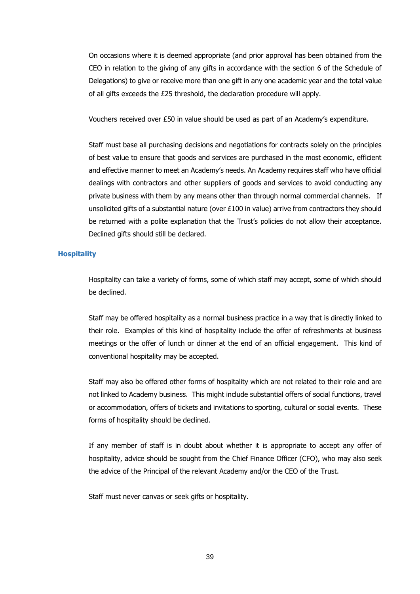On occasions where it is deemed appropriate (and prior approval has been obtained from the CEO in relation to the giving of any gifts in accordance with the section 6 of the Schedule of Delegations) to give or receive more than one gift in any one academic year and the total value of all gifts exceeds the £25 threshold, the declaration procedure will apply.

Vouchers received over £50 in value should be used as part of an Academy's expenditure.

Staff must base all purchasing decisions and negotiations for contracts solely on the principles of best value to ensure that goods and services are purchased in the most economic, efficient and effective manner to meet an Academy's needs. An Academy requires staff who have official dealings with contractors and other suppliers of goods and services to avoid conducting any private business with them by any means other than through normal commercial channels. If unsolicited gifts of a substantial nature (over £100 in value) arrive from contractors they should be returned with a polite explanation that the Trust's policies do not allow their acceptance. Declined gifts should still be declared.

#### **Hospitality**

Hospitality can take a variety of forms, some of which staff may accept, some of which should be declined.

Staff may be offered hospitality as a normal business practice in a way that is directly linked to their role. Examples of this kind of hospitality include the offer of refreshments at business meetings or the offer of lunch or dinner at the end of an official engagement. This kind of conventional hospitality may be accepted.

Staff may also be offered other forms of hospitality which are not related to their role and are not linked to Academy business. This might include substantial offers of social functions, travel or accommodation, offers of tickets and invitations to sporting, cultural or social events. These forms of hospitality should be declined.

If any member of staff is in doubt about whether it is appropriate to accept any offer of hospitality, advice should be sought from the Chief Finance Officer (CFO), who may also seek the advice of the Principal of the relevant Academy and/or the CEO of the Trust.

Staff must never canvas or seek gifts or hospitality.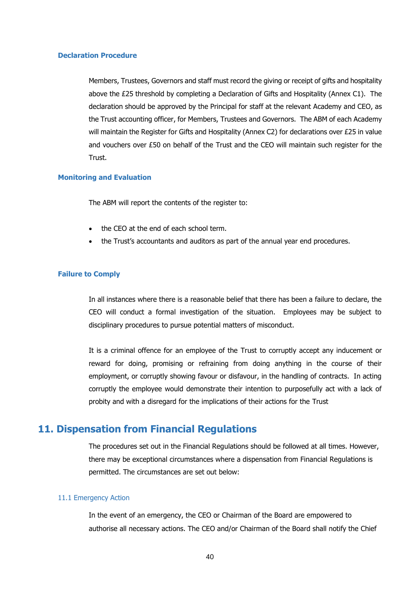#### **Declaration Procedure**

Members, Trustees, Governors and staff must record the giving or receipt of gifts and hospitality above the £25 threshold by completing a Declaration of Gifts and Hospitality (Annex C1). The declaration should be approved by the Principal for staff at the relevant Academy and CEO, as the Trust accounting officer, for Members, Trustees and Governors. The ABM of each Academy will maintain the Register for Gifts and Hospitality (Annex C2) for declarations over £25 in value and vouchers over £50 on behalf of the Trust and the CEO will maintain such register for the Trust.

#### **Monitoring and Evaluation**

The ABM will report the contents of the register to:

- the CEO at the end of each school term.
- the Trust's accountants and auditors as part of the annual year end procedures.

#### **Failure to Comply**

In all instances where there is a reasonable belief that there has been a failure to declare, the CEO will conduct a formal investigation of the situation. Employees may be subject to disciplinary procedures to pursue potential matters of misconduct.

It is a criminal offence for an employee of the Trust to corruptly accept any inducement or reward for doing, promising or refraining from doing anything in the course of their employment, or corruptly showing favour or disfavour, in the handling of contracts. In acting corruptly the employee would demonstrate their intention to purposefully act with a lack of probity and with a disregard for the implications of their actions for the Trust

### **11. Dispensation from Financial Regulations**

The procedures set out in the Financial Regulations should be followed at all times. However, there may be exceptional circumstances where a dispensation from Financial Regulations is permitted. The circumstances are set out below:

#### 11.1 Emergency Action

In the event of an emergency, the CEO or Chairman of the Board are empowered to authorise all necessary actions. The CEO and/or Chairman of the Board shall notify the Chief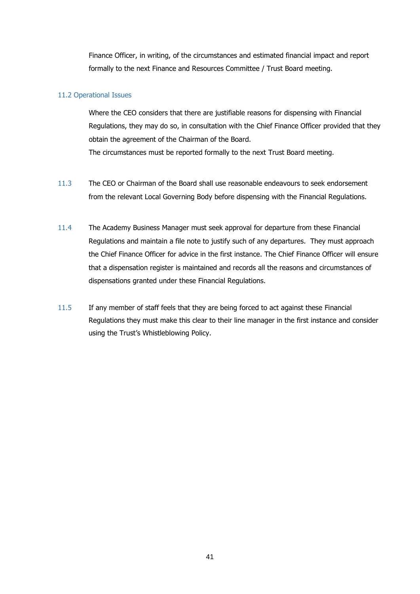Finance Officer, in writing, of the circumstances and estimated financial impact and report formally to the next Finance and Resources Committee / Trust Board meeting.

#### 11.2 Operational Issues

Where the CEO considers that there are justifiable reasons for dispensing with Financial Regulations, they may do so, in consultation with the Chief Finance Officer provided that they obtain the agreement of the Chairman of the Board. The circumstances must be reported formally to the next Trust Board meeting.

- 11.3 The CEO or Chairman of the Board shall use reasonable endeavours to seek endorsement from the relevant Local Governing Body before dispensing with the Financial Regulations.
- 11.4 The Academy Business Manager must seek approval for departure from these Financial Regulations and maintain a file note to justify such of any departures. They must approach the Chief Finance Officer for advice in the first instance. The Chief Finance Officer will ensure that a dispensation register is maintained and records all the reasons and circumstances of dispensations granted under these Financial Regulations.
- 11.5 If any member of staff feels that they are being forced to act against these Financial Regulations they must make this clear to their line manager in the first instance and consider using the Trust's Whistleblowing Policy.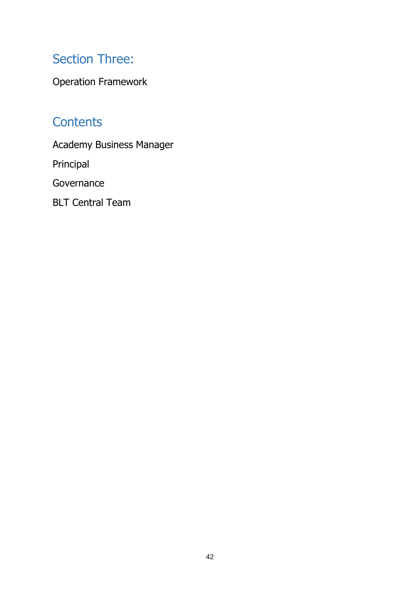# Section Three:

Operation Framework

# **Contents**

Academy Business Manager

Principal

Governance

BLT Central Team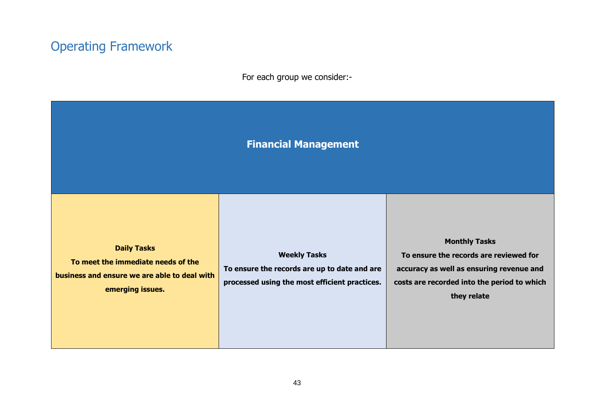# Operating Framework

For each group we consider:-

| <b>Financial Management</b> |  |
|-----------------------------|--|
|                             |  |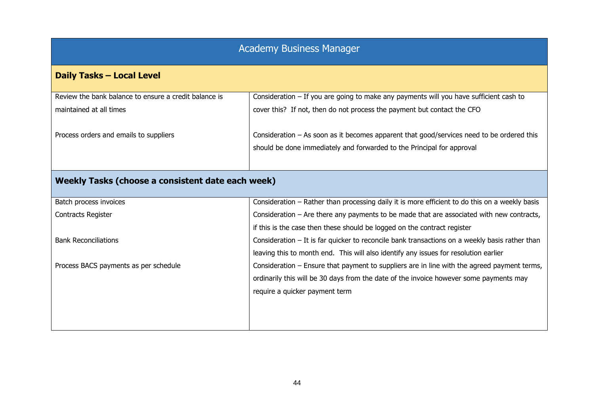## Academy Business Manager

## **Daily Tasks – Local Level**

| Review the bank balance to ensure a credit balance is | Consideration $-$ If you are going to make any payments will you have sufficient cash to  |
|-------------------------------------------------------|-------------------------------------------------------------------------------------------|
| maintained at all times                               | cover this? If not, then do not process the payment but contact the CFO                   |
|                                                       |                                                                                           |
| Process orders and emails to suppliers                | Consideration - As soon as it becomes apparent that good/services need to be ordered this |
|                                                       | should be done immediately and forwarded to the Principal for approval                    |
|                                                       |                                                                                           |
|                                                       |                                                                                           |

## **Weekly Tasks (choose a consistent date each week)**

| Batch process invoices                | Consideration – Rather than processing daily it is more efficient to do this on a weekly basis   |
|---------------------------------------|--------------------------------------------------------------------------------------------------|
| <b>Contracts Register</b>             | Consideration $-$ Are there any payments to be made that are associated with new contracts,      |
|                                       | if this is the case then these should be logged on the contract register                         |
| <b>Bank Reconciliations</b>           | Consideration $-$ It is far quicker to reconcile bank transactions on a weekly basis rather than |
|                                       | leaving this to month end. This will also identify any issues for resolution earlier             |
| Process BACS payments as per schedule | Consideration – Ensure that payment to suppliers are in line with the agreed payment terms,      |
|                                       | ordinarily this will be 30 days from the date of the invoice however some payments may           |
|                                       | require a quicker payment term                                                                   |
|                                       |                                                                                                  |
|                                       |                                                                                                  |
|                                       |                                                                                                  |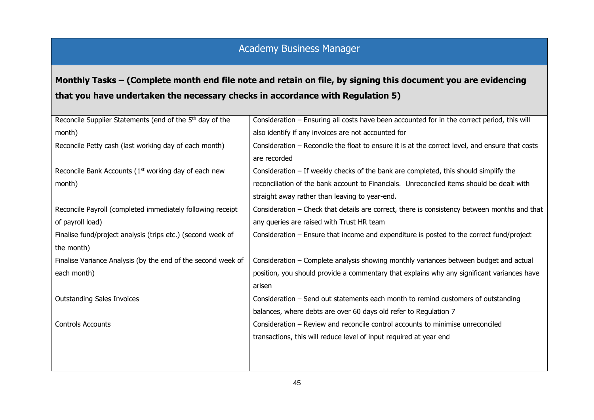## Academy Business Manager

## **Monthly Tasks – (Complete month end file note and retain on file, by signing this document you are evidencing that you have undertaken the necessary checks in accordance with Regulation 5)**

| Reconcile Supplier Statements (end of the 5 <sup>th</sup> day of the<br>Consideration - Ensuring all costs have been accounted for in the correct period, this will |  |
|---------------------------------------------------------------------------------------------------------------------------------------------------------------------|--|
| also identify if any invoices are not accounted for<br>month)                                                                                                       |  |
| Reconcile Petty cash (last working day of each month)<br>Consideration - Reconcile the float to ensure it is at the correct level, and ensure that costs            |  |
| are recorded                                                                                                                                                        |  |
| Reconcile Bank Accounts (1 <sup>st</sup> working day of each new<br>Consideration $-$ If weekly checks of the bank are completed, this should simplify the          |  |
| reconciliation of the bank account to Financials. Unreconciled items should be dealt with<br>month)                                                                 |  |
| straight away rather than leaving to year-end.                                                                                                                      |  |
| Reconcile Payroll (completed immediately following receipt<br>Consideration - Check that details are correct, there is consistency between months and that          |  |
| of payroll load)<br>any queries are raised with Trust HR team                                                                                                       |  |
| Consideration – Ensure that income and expenditure is posted to the correct fund/project<br>Finalise fund/project analysis (trips etc.) (second week of             |  |
| the month)                                                                                                                                                          |  |
| Finalise Variance Analysis (by the end of the second week of<br>Consideration - Complete analysis showing monthly variances between budget and actual               |  |
| each month)<br>position, you should provide a commentary that explains why any significant variances have                                                           |  |
| arisen                                                                                                                                                              |  |
| <b>Outstanding Sales Invoices</b><br>Consideration - Send out statements each month to remind customers of outstanding                                              |  |
| balances, where debts are over 60 days old refer to Regulation 7                                                                                                    |  |
| <b>Controls Accounts</b><br>Consideration – Review and reconcile control accounts to minimise unreconciled                                                          |  |
| transactions, this will reduce level of input required at year end                                                                                                  |  |
|                                                                                                                                                                     |  |
|                                                                                                                                                                     |  |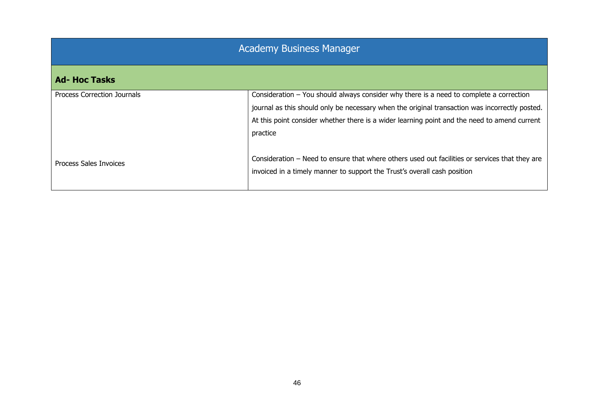| Academy Business Manager |
|--------------------------|
|--------------------------|

## **Ad- Hoc Tasks**

| Process Correction Journals | Consideration $-$ You should always consider why there is a need to complete a correction      |
|-----------------------------|------------------------------------------------------------------------------------------------|
|                             | journal as this should only be necessary when the original transaction was incorrectly posted. |
|                             | At this point consider whether there is a wider learning point and the need to amend current   |
|                             | practice                                                                                       |
|                             |                                                                                                |
| Process Sales Invoices      | Consideration - Need to ensure that where others used out facilities or services that they are |
|                             | invoiced in a timely manner to support the Trust's overall cash position                       |
|                             |                                                                                                |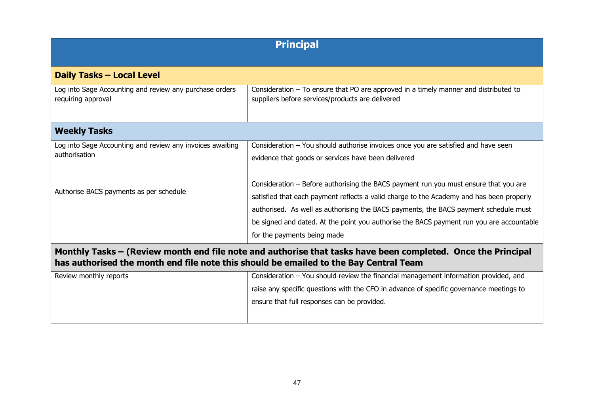| <b>Principal</b>                                                                                                                                                                                      |                                                                                                                                            |
|-------------------------------------------------------------------------------------------------------------------------------------------------------------------------------------------------------|--------------------------------------------------------------------------------------------------------------------------------------------|
| <b>Daily Tasks - Local Level</b>                                                                                                                                                                      |                                                                                                                                            |
| Log into Sage Accounting and review any purchase orders<br>requiring approval                                                                                                                         | Consideration $-$ To ensure that PO are approved in a timely manner and distributed to<br>suppliers before services/products are delivered |
| <b>Weekly Tasks</b>                                                                                                                                                                                   |                                                                                                                                            |
| Log into Sage Accounting and review any invoices awaiting                                                                                                                                             | Consideration - You should authorise invoices once you are satisfied and have seen                                                         |
| authorisation                                                                                                                                                                                         | evidence that goods or services have been delivered                                                                                        |
|                                                                                                                                                                                                       |                                                                                                                                            |
|                                                                                                                                                                                                       | Consideration – Before authorising the BACS payment run you must ensure that you are                                                       |
| Authorise BACS payments as per schedule                                                                                                                                                               | satisfied that each payment reflects a valid charge to the Academy and has been properly                                                   |
|                                                                                                                                                                                                       | authorised. As well as authorising the BACS payments, the BACS payment schedule must                                                       |
|                                                                                                                                                                                                       | be signed and dated. At the point you authorise the BACS payment run you are accountable                                                   |
|                                                                                                                                                                                                       | for the payments being made                                                                                                                |
| Monthly Tasks – (Review month end file note and authorise that tasks have been completed. Once the Principal<br>has authorised the month end file note this should be emailed to the Bay Central Team |                                                                                                                                            |
| Review monthly reports                                                                                                                                                                                | Consideration - You should review the financial management information provided, and                                                       |
|                                                                                                                                                                                                       | raise any specific questions with the CFO in advance of specific governance meetings to                                                    |
|                                                                                                                                                                                                       | ensure that full responses can be provided.                                                                                                |
|                                                                                                                                                                                                       |                                                                                                                                            |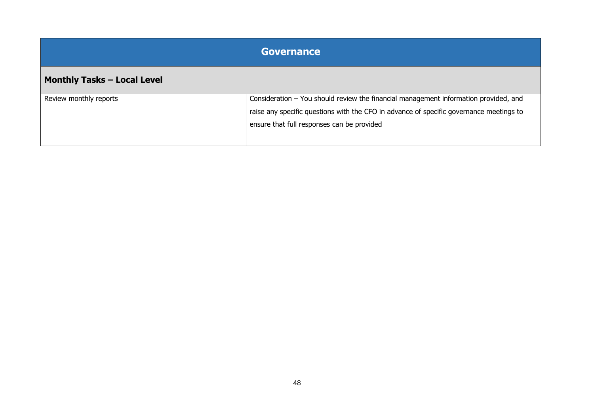| <b>Governance</b>                  |                                                                                                                                                                                                                               |
|------------------------------------|-------------------------------------------------------------------------------------------------------------------------------------------------------------------------------------------------------------------------------|
| <b>Monthly Tasks - Local Level</b> |                                                                                                                                                                                                                               |
| Review monthly reports             | Consideration - You should review the financial management information provided, and<br>raise any specific questions with the CFO in advance of specific governance meetings to<br>ensure that full responses can be provided |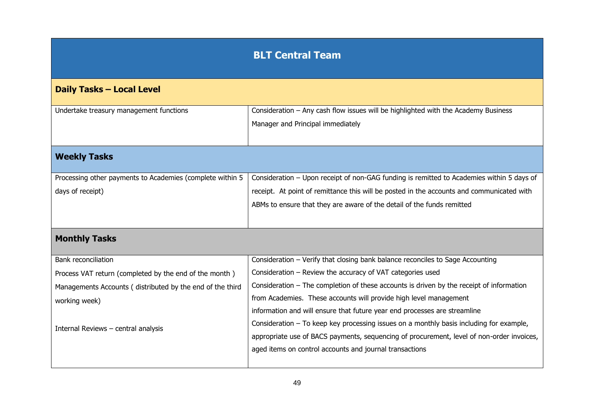# **BLT Central Team**

| <b>Daily Tasks - Local Level</b>                          |                                                                                            |
|-----------------------------------------------------------|--------------------------------------------------------------------------------------------|
|                                                           |                                                                                            |
| Undertake treasury management functions                   | Consideration - Any cash flow issues will be highlighted with the Academy Business         |
|                                                           | Manager and Principal immediately                                                          |
|                                                           |                                                                                            |
| <b>Weekly Tasks</b>                                       |                                                                                            |
|                                                           |                                                                                            |
| Processing other payments to Academies (complete within 5 | Consideration - Upon receipt of non-GAG funding is remitted to Academies within 5 days of  |
| days of receipt)                                          | receipt. At point of remittance this will be posted in the accounts and communicated with  |
|                                                           | ABMs to ensure that they are aware of the detail of the funds remitted                     |
|                                                           |                                                                                            |
|                                                           |                                                                                            |
| <b>Monthly Tasks</b>                                      |                                                                                            |
|                                                           |                                                                                            |
| <b>Bank reconciliation</b>                                | Consideration - Verify that closing bank balance reconciles to Sage Accounting             |
| Process VAT return (completed by the end of the month)    | Consideration - Review the accuracy of VAT categories used                                 |
| Managements Accounts (distributed by the end of the third | Consideration $-$ The completion of these accounts is driven by the receipt of information |
| working week)                                             | from Academies. These accounts will provide high level management                          |
|                                                           | information and will ensure that future year end processes are streamline                  |
| Internal Reviews - central analysis                       | Consideration $-$ To keep key processing issues on a monthly basis including for example,  |
|                                                           | appropriate use of BACS payments, sequencing of procurement, level of non-order invoices,  |
|                                                           | aged items on control accounts and journal transactions                                    |
|                                                           |                                                                                            |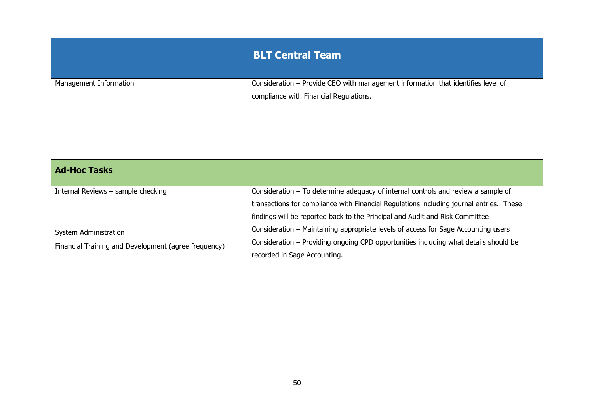|                                                                                                                     | <b>BLT Central Team</b>                                                                                                                                                                                                                                                                                                                                                                                                                                                      |
|---------------------------------------------------------------------------------------------------------------------|------------------------------------------------------------------------------------------------------------------------------------------------------------------------------------------------------------------------------------------------------------------------------------------------------------------------------------------------------------------------------------------------------------------------------------------------------------------------------|
| Management Information                                                                                              | Consideration - Provide CEO with management information that identifies level of<br>compliance with Financial Regulations.                                                                                                                                                                                                                                                                                                                                                   |
| <b>Ad-Hoc Tasks</b>                                                                                                 |                                                                                                                                                                                                                                                                                                                                                                                                                                                                              |
| Internal Reviews - sample checking<br>System Administration<br>Financial Training and Development (agree frequency) | Consideration $-$ To determine adequacy of internal controls and review a sample of<br>transactions for compliance with Financial Regulations including journal entries. These<br>findings will be reported back to the Principal and Audit and Risk Committee<br>Consideration – Maintaining appropriate levels of access for Sage Accounting users<br>Consideration – Providing ongoing CPD opportunities including what details should be<br>recorded in Sage Accounting. |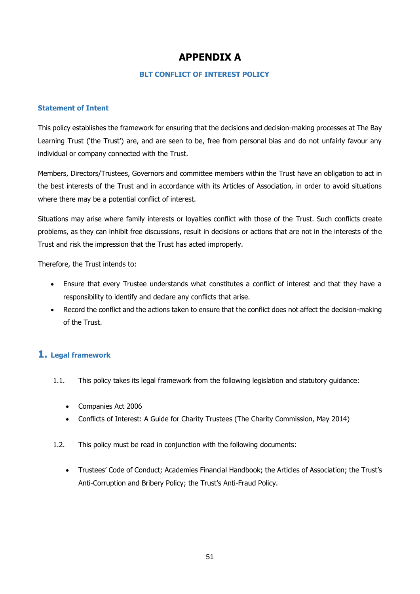## **APPENDIX A**

#### **BLT CONFLICT OF INTEREST POLICY**

#### **Statement of Intent**

This policy establishes the framework for ensuring that the decisions and decision-making processes at The Bay Learning Trust ('the Trust') are, and are seen to be, free from personal bias and do not unfairly favour any individual or company connected with the Trust.

Members, Directors/Trustees, Governors and committee members within the Trust have an obligation to act in the best interests of the Trust and in accordance with its Articles of Association, in order to avoid situations where there may be a potential conflict of interest.

Situations may arise where family interests or loyalties conflict with those of the Trust. Such conflicts create problems, as they can inhibit free discussions, result in decisions or actions that are not in the interests of the Trust and risk the impression that the Trust has acted improperly.

Therefore, the Trust intends to:

- Ensure that every Trustee understands what constitutes a conflict of interest and that they have a responsibility to identify and declare any conflicts that arise.
- Record the conflict and the actions taken to ensure that the conflict does not affect the decision-making of the Trust.

### **1. Legal framework**

- 1.1. This policy takes its legal framework from the following legislation and statutory guidance:
	- Companies Act 2006
	- Conflicts of Interest: A Guide for Charity Trustees (The Charity Commission, May 2014)
- 1.2. This policy must be read in conjunction with the following documents:
	- Trustees' Code of Conduct; Academies Financial Handbook; the Articles of Association; the Trust's Anti-Corruption and Bribery Policy; the Trust's Anti-Fraud Policy.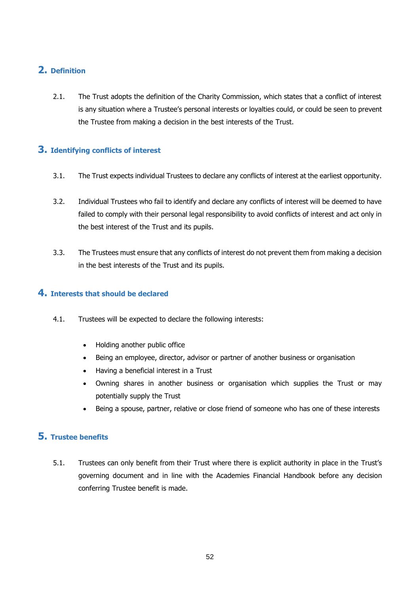## **2. Definition**

2.1. The Trust adopts the definition of the Charity Commission, which states that a conflict of interest is any situation where a Trustee's personal interests or loyalties could, or could be seen to prevent the Trustee from making a decision in the best interests of the Trust.

### **3. Identifying conflicts of interest**

- 3.1. The Trust expects individual Trustees to declare any conflicts of interest at the earliest opportunity.
- 3.2. Individual Trustees who fail to identify and declare any conflicts of interest will be deemed to have failed to comply with their personal legal responsibility to avoid conflicts of interest and act only in the best interest of the Trust and its pupils.
- 3.3. The Trustees must ensure that any conflicts of interest do not prevent them from making a decision in the best interests of the Trust and its pupils.

### **4. Interests that should be declared**

- 4.1. Trustees will be expected to declare the following interests:
	- Holding another public office
	- Being an employee, director, advisor or partner of another business or organisation
	- Having a beneficial interest in a Trust
	- Owning shares in another business or organisation which supplies the Trust or may potentially supply the Trust
	- Being a spouse, partner, relative or close friend of someone who has one of these interests

### **5. Trustee benefits**

5.1. Trustees can only benefit from their Trust where there is explicit authority in place in the Trust's governing document and in line with the Academies Financial Handbook before any decision conferring Trustee benefit is made.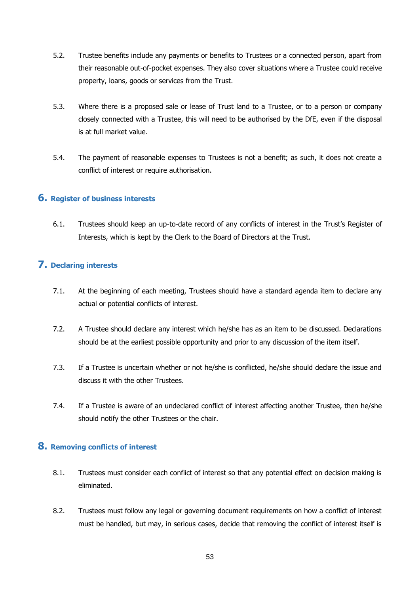- 5.2. Trustee benefits include any payments or benefits to Trustees or a connected person, apart from their reasonable out-of-pocket expenses. They also cover situations where a Trustee could receive property, loans, goods or services from the Trust.
- 5.3. Where there is a proposed sale or lease of Trust land to a Trustee, or to a person or company closely connected with a Trustee, this will need to be authorised by the DfE, even if the disposal is at full market value.
- 5.4. The payment of reasonable expenses to Trustees is not a benefit; as such, it does not create a conflict of interest or require authorisation.

#### **6. Register of business interests**

6.1. Trustees should keep an up-to-date record of any conflicts of interest in the Trust's Register of Interests, which is kept by the Clerk to the Board of Directors at the Trust.

### **7. Declaring interests**

- 7.1. At the beginning of each meeting, Trustees should have a standard agenda item to declare any actual or potential conflicts of interest.
- 7.2. A Trustee should declare any interest which he/she has as an item to be discussed. Declarations should be at the earliest possible opportunity and prior to any discussion of the item itself.
- 7.3. If a Trustee is uncertain whether or not he/she is conflicted, he/she should declare the issue and discuss it with the other Trustees.
- 7.4. If a Trustee is aware of an undeclared conflict of interest affecting another Trustee, then he/she should notify the other Trustees or the chair.

### **8. Removing conflicts of interest**

- 8.1. Trustees must consider each conflict of interest so that any potential effect on decision making is eliminated.
- 8.2. Trustees must follow any legal or governing document requirements on how a conflict of interest must be handled, but may, in serious cases, decide that removing the conflict of interest itself is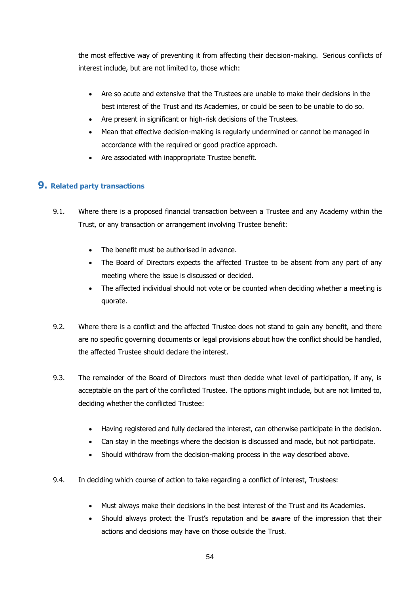the most effective way of preventing it from affecting their decision-making. Serious conflicts of interest include, but are not limited to, those which:

- Are so acute and extensive that the Trustees are unable to make their decisions in the best interest of the Trust and its Academies, or could be seen to be unable to do so.
- Are present in significant or high-risk decisions of the Trustees.
- Mean that effective decision-making is regularly undermined or cannot be managed in accordance with the required or good practice approach.
- Are associated with inappropriate Trustee benefit.

### **9. Related party transactions**

- 9.1. Where there is a proposed financial transaction between a Trustee and any Academy within the Trust, or any transaction or arrangement involving Trustee benefit:
	- The benefit must be authorised in advance.
	- The Board of Directors expects the affected Trustee to be absent from any part of any meeting where the issue is discussed or decided.
	- The affected individual should not vote or be counted when deciding whether a meeting is quorate.
- 9.2. Where there is a conflict and the affected Trustee does not stand to gain any benefit, and there are no specific governing documents or legal provisions about how the conflict should be handled, the affected Trustee should declare the interest.
- 9.3. The remainder of the Board of Directors must then decide what level of participation, if any, is acceptable on the part of the conflicted Trustee. The options might include, but are not limited to, deciding whether the conflicted Trustee:
	- Having registered and fully declared the interest, can otherwise participate in the decision.
	- Can stay in the meetings where the decision is discussed and made, but not participate.
	- Should withdraw from the decision-making process in the way described above.
- 9.4. In deciding which course of action to take regarding a conflict of interest, Trustees:
	- Must always make their decisions in the best interest of the Trust and its Academies.
	- Should always protect the Trust's reputation and be aware of the impression that their actions and decisions may have on those outside the Trust.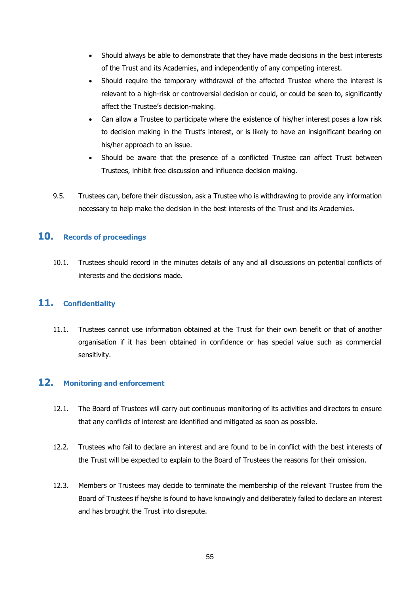- Should always be able to demonstrate that they have made decisions in the best interests of the Trust and its Academies, and independently of any competing interest.
- Should require the temporary withdrawal of the affected Trustee where the interest is relevant to a high-risk or controversial decision or could, or could be seen to, significantly affect the Trustee's decision-making.
- Can allow a Trustee to participate where the existence of his/her interest poses a low risk to decision making in the Trust's interest, or is likely to have an insignificant bearing on his/her approach to an issue.
- Should be aware that the presence of a conflicted Trustee can affect Trust between Trustees, inhibit free discussion and influence decision making.
- 9.5. Trustees can, before their discussion, ask a Trustee who is withdrawing to provide any information necessary to help make the decision in the best interests of the Trust and its Academies.

### **10. Records of proceedings**

10.1. Trustees should record in the minutes details of any and all discussions on potential conflicts of interests and the decisions made.

### **11. Confidentiality**

11.1. Trustees cannot use information obtained at the Trust for their own benefit or that of another organisation if it has been obtained in confidence or has special value such as commercial sensitivity.

### **12. Monitoring and enforcement**

- 12.1. The Board of Trustees will carry out continuous monitoring of its activities and directors to ensure that any conflicts of interest are identified and mitigated as soon as possible.
- 12.2. Trustees who fail to declare an interest and are found to be in conflict with the best interests of the Trust will be expected to explain to the Board of Trustees the reasons for their omission.
- 12.3. Members or Trustees may decide to terminate the membership of the relevant Trustee from the Board of Trustees if he/she is found to have knowingly and deliberately failed to declare an interest and has brought the Trust into disrepute.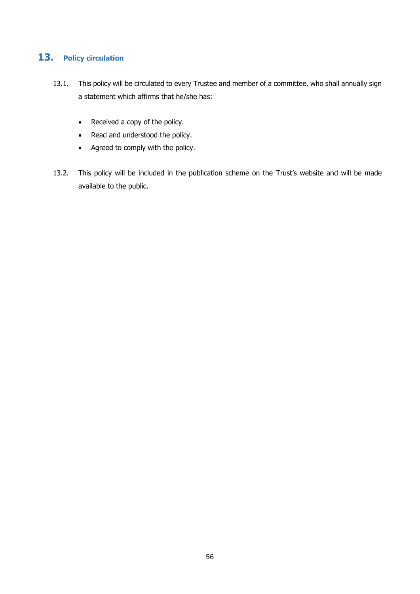## **13. Policy circulation**

- 13.1. This policy will be circulated to every Trustee and member of a committee, who shall annually sign a statement which affirms that he/she has:
	- Received a copy of the policy.
	- Read and understood the policy.
	- Agreed to comply with the policy.
- 13.2. This policy will be included in the publication scheme on the Trust's website and will be made available to the public.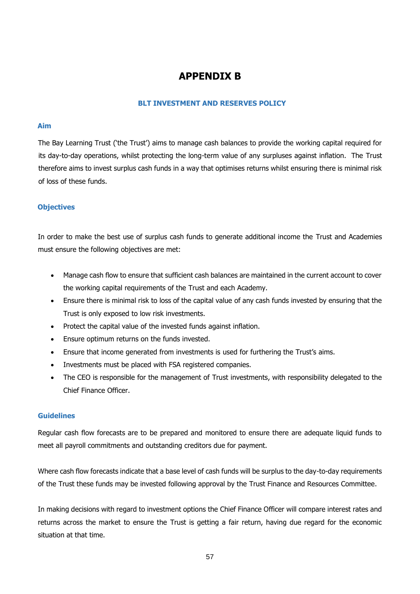## **APPENDIX B**

#### **BLT INVESTMENT AND RESERVES POLICY**

#### **Aim**

The Bay Learning Trust ('the Trust') aims to manage cash balances to provide the working capital required for its day-to-day operations, whilst protecting the long-term value of any surpluses against inflation. The Trust therefore aims to invest surplus cash funds in a way that optimises returns whilst ensuring there is minimal risk of loss of these funds.

#### **Objectives**

In order to make the best use of surplus cash funds to generate additional income the Trust and Academies must ensure the following objectives are met:

- Manage cash flow to ensure that sufficient cash balances are maintained in the current account to cover the working capital requirements of the Trust and each Academy.
- Ensure there is minimal risk to loss of the capital value of any cash funds invested by ensuring that the Trust is only exposed to low risk investments.
- Protect the capital value of the invested funds against inflation.
- Ensure optimum returns on the funds invested.
- Ensure that income generated from investments is used for furthering the Trust's aims.
- Investments must be placed with FSA registered companies.
- The CEO is responsible for the management of Trust investments, with responsibility delegated to the Chief Finance Officer.

#### **Guidelines**

Regular cash flow forecasts are to be prepared and monitored to ensure there are adequate liquid funds to meet all payroll commitments and outstanding creditors due for payment.

Where cash flow forecasts indicate that a base level of cash funds will be surplus to the day-to-day requirements of the Trust these funds may be invested following approval by the Trust Finance and Resources Committee.

In making decisions with regard to investment options the Chief Finance Officer will compare interest rates and returns across the market to ensure the Trust is getting a fair return, having due regard for the economic situation at that time.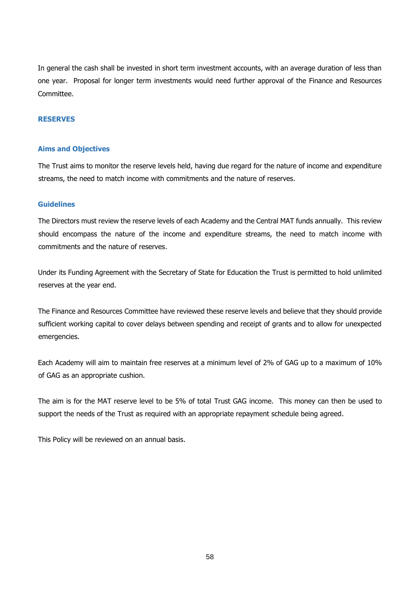In general the cash shall be invested in short term investment accounts, with an average duration of less than one year. Proposal for longer term investments would need further approval of the Finance and Resources Committee.

#### **RESERVES**

#### **Aims and Objectives**

The Trust aims to monitor the reserve levels held, having due regard for the nature of income and expenditure streams, the need to match income with commitments and the nature of reserves.

#### **Guidelines**

The Directors must review the reserve levels of each Academy and the Central MAT funds annually. This review should encompass the nature of the income and expenditure streams, the need to match income with commitments and the nature of reserves.

Under its Funding Agreement with the Secretary of State for Education the Trust is permitted to hold unlimited reserves at the year end.

The Finance and Resources Committee have reviewed these reserve levels and believe that they should provide sufficient working capital to cover delays between spending and receipt of grants and to allow for unexpected emergencies.

Each Academy will aim to maintain free reserves at a minimum level of 2% of GAG up to a maximum of 10% of GAG as an appropriate cushion.

The aim is for the MAT reserve level to be 5% of total Trust GAG income. This money can then be used to support the needs of the Trust as required with an appropriate repayment schedule being agreed.

This Policy will be reviewed on an annual basis.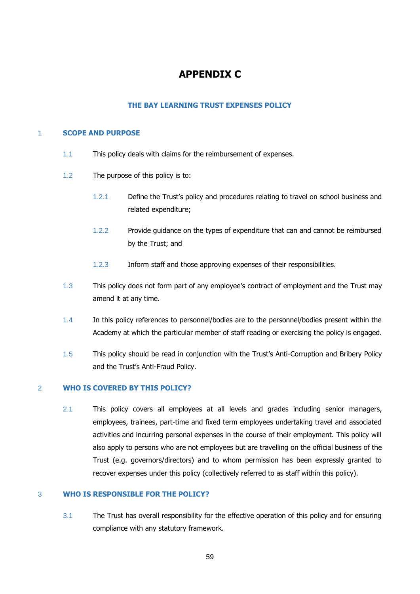## **APPENDIX C**

#### **THE BAY LEARNING TRUST EXPENSES POLICY**

#### 1 **SCOPE AND PURPOSE**

- 1.1 This policy deals with claims for the reimbursement of expenses.
- 1.2 The purpose of this policy is to:
	- 1.2.1 Define the Trust's policy and procedures relating to travel on school business and related expenditure;
	- 1.2.2 Provide guidance on the types of expenditure that can and cannot be reimbursed by the Trust; and
	- 1.2.3 Inform staff and those approving expenses of their responsibilities.
- 1.3 This policy does not form part of any employee's contract of employment and the Trust may amend it at any time.
- 1.4 In this policy references to personnel/bodies are to the personnel/bodies present within the Academy at which the particular member of staff reading or exercising the policy is engaged.
- 1.5 This policy should be read in conjunction with the Trust's Anti-Corruption and Bribery Policy and the Trust's Anti-Fraud Policy.

#### 2 **WHO IS COVERED BY THIS POLICY?**

2.1 This policy covers all employees at all levels and grades including senior managers, employees, trainees, part-time and fixed term employees undertaking travel and associated activities and incurring personal expenses in the course of their employment. This policy will also apply to persons who are not employees but are travelling on the official business of the Trust (e.g. governors/directors) and to whom permission has been expressly granted to recover expenses under this policy (collectively referred to as staff within this policy).

#### 3 **WHO IS RESPONSIBLE FOR THE POLICY?**

3.1 The Trust has overall responsibility for the effective operation of this policy and for ensuring compliance with any statutory framework.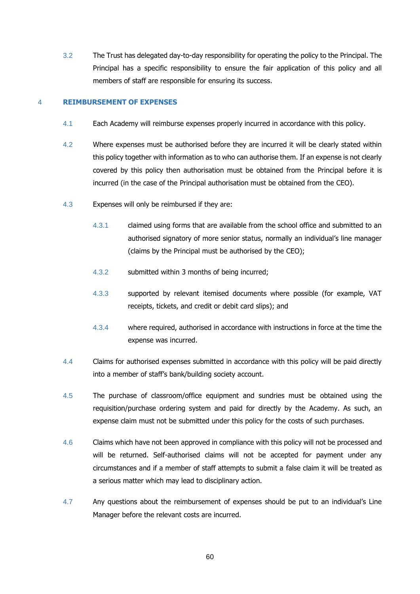3.2 The Trust has delegated day-to-day responsibility for operating the policy to the Principal. The Principal has a specific responsibility to ensure the fair application of this policy and all members of staff are responsible for ensuring its success.

#### 4 **REIMBURSEMENT OF EXPENSES**

- 4.1 Each Academy will reimburse expenses properly incurred in accordance with this policy.
- 4.2 Where expenses must be authorised before they are incurred it will be clearly stated within this policy together with information as to who can authorise them. If an expense is not clearly covered by this policy then authorisation must be obtained from the Principal before it is incurred (in the case of the Principal authorisation must be obtained from the CEO).
- 4.3 Expenses will only be reimbursed if they are:
	- 4.3.1 claimed using forms that are available from the school office and submitted to an authorised signatory of more senior status, normally an individual's line manager (claims by the Principal must be authorised by the CEO);
	- 4.3.2 submitted within 3 months of being incurred;
	- 4.3.3 supported by relevant itemised documents where possible (for example, VAT receipts, tickets, and credit or debit card slips); and
	- 4.3.4 where required, authorised in accordance with instructions in force at the time the expense was incurred.
- 4.4 Claims for authorised expenses submitted in accordance with this policy will be paid directly into a member of staff's bank/building society account.
- 4.5 The purchase of classroom/office equipment and sundries must be obtained using the requisition/purchase ordering system and paid for directly by the Academy. As such, an expense claim must not be submitted under this policy for the costs of such purchases.
- 4.6 Claims which have not been approved in compliance with this policy will not be processed and will be returned. Self-authorised claims will not be accepted for payment under any circumstances and if a member of staff attempts to submit a false claim it will be treated as a serious matter which may lead to disciplinary action.
- 4.7 Any questions about the reimbursement of expenses should be put to an individual's Line Manager before the relevant costs are incurred.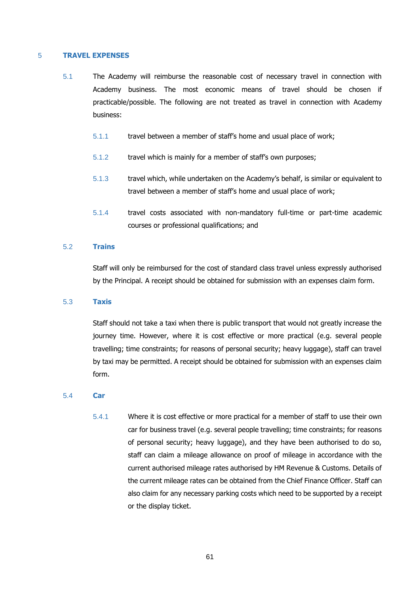#### 5 **TRAVEL EXPENSES**

- 5.1 The Academy will reimburse the reasonable cost of necessary travel in connection with Academy business. The most economic means of travel should be chosen if practicable/possible. The following are not treated as travel in connection with Academy business:
	- 5.1.1 travel between a member of staff's home and usual place of work;
	- 5.1.2 travel which is mainly for a member of staff's own purposes;
	- 5.1.3 travel which, while undertaken on the Academy's behalf, is similar or equivalent to travel between a member of staff's home and usual place of work;
	- 5.1.4 travel costs associated with non-mandatory full-time or part-time academic courses or professional qualifications; and

#### 5.2 **Trains**

Staff will only be reimbursed for the cost of standard class travel unless expressly authorised by the Principal. A receipt should be obtained for submission with an expenses claim form.

#### 5.3 **Taxis**

Staff should not take a taxi when there is public transport that would not greatly increase the journey time. However, where it is cost effective or more practical (e.g. several people travelling; time constraints; for reasons of personal security; heavy luggage), staff can travel by taxi may be permitted. A receipt should be obtained for submission with an expenses claim form.

#### 5.4 **Car**

5.4.1 Where it is cost effective or more practical for a member of staff to use their own car for business travel (e.g. several people travelling; time constraints; for reasons of personal security; heavy luggage), and they have been authorised to do so, staff can claim a mileage allowance on proof of mileage in accordance with the current authorised mileage rates authorised by HM Revenue & Customs. Details of the current mileage rates can be obtained from the Chief Finance Officer. Staff can also claim for any necessary parking costs which need to be supported by a receipt or the display ticket.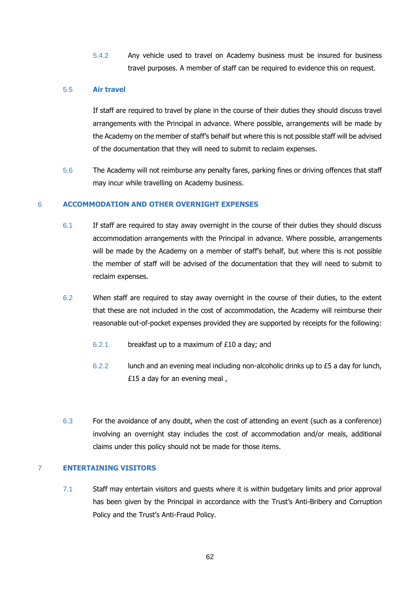5.4.2 Any vehicle used to travel on Academy business must be insured for business travel purposes. A member of staff can be required to evidence this on request.

#### 5.5 **Air travel**

If staff are required to travel by plane in the course of their duties they should discuss travel arrangements with the Principal in advance. Where possible, arrangements will be made by the Academy on the member of staff's behalf but where this is not possible staff will be advised of the documentation that they will need to submit to reclaim expenses.

5.6 The Academy will not reimburse any penalty fares, parking fines or driving offences that staff may incur while travelling on Academy business.

#### 6 **ACCOMMODATION AND OTHER OVERNIGHT EXPENSES**

- 6.1 If staff are required to stay away overnight in the course of their duties they should discuss accommodation arrangements with the Principal in advance. Where possible, arrangements will be made by the Academy on a member of staff's behalf, but where this is not possible the member of staff will be advised of the documentation that they will need to submit to reclaim expenses.
- 6.2 When staff are required to stay away overnight in the course of their duties, to the extent that these are not included in the cost of accommodation, the Academy will reimburse their reasonable out-of-pocket expenses provided they are supported by receipts for the following:
	- 6.2.1 breakfast up to a maximum of £10 a day; and
	- 6.2.2 lunch and an evening meal including non-alcoholic drinks up to £5 a day for lunch, £15 a day for an evening meal ,
- 6.3 For the avoidance of any doubt, when the cost of attending an event (such as a conference) involving an overnight stay includes the cost of accommodation and/or meals, additional claims under this policy should not be made for those items.

#### 7 **ENTERTAINING VISITORS**

7.1 Staff may entertain visitors and guests where it is within budgetary limits and prior approval has been given by the Principal in accordance with the Trust's Anti-Bribery and Corruption Policy and the Trust's Anti-Fraud Policy.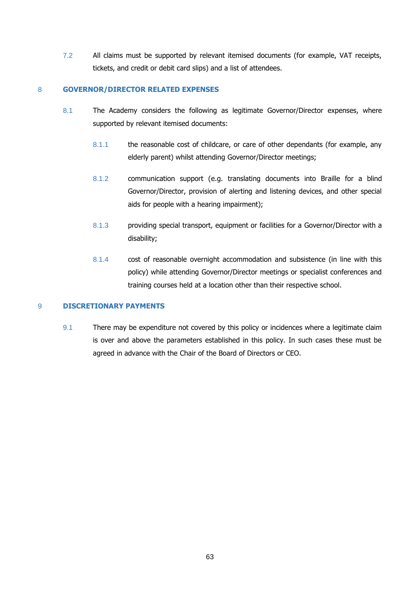7.2 All claims must be supported by relevant itemised documents (for example, VAT receipts, tickets, and credit or debit card slips) and a list of attendees.

#### 8 **GOVERNOR/DIRECTOR RELATED EXPENSES**

- 8.1 The Academy considers the following as legitimate Governor/Director expenses, where supported by relevant itemised documents:
	- 8.1.1 the reasonable cost of childcare, or care of other dependants (for example, any elderly parent) whilst attending Governor/Director meetings;
	- 8.1.2 communication support (e.g. translating documents into Braille for a blind Governor/Director, provision of alerting and listening devices, and other special aids for people with a hearing impairment);
	- 8.1.3 providing special transport, equipment or facilities for a Governor/Director with a disability;
	- 8.1.4 cost of reasonable overnight accommodation and subsistence (in line with this policy) while attending Governor/Director meetings or specialist conferences and training courses held at a location other than their respective school.

#### 9 **DISCRETIONARY PAYMENTS**

9.1 There may be expenditure not covered by this policy or incidences where a legitimate claim is over and above the parameters established in this policy. In such cases these must be agreed in advance with the Chair of the Board of Directors or CEO.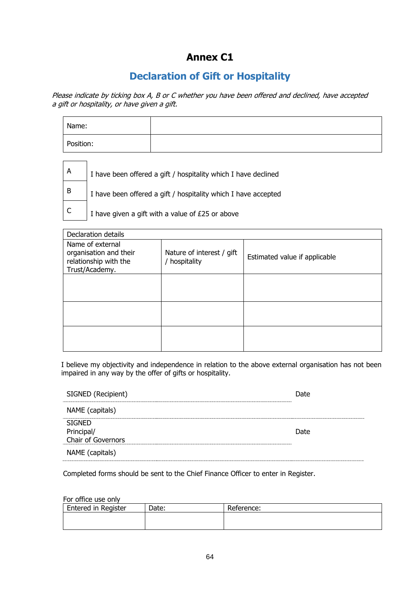## **Annex C1**

## **Declaration of Gift or Hospitality**

Please indicate by ticking box A, B or C whether you have been offered and declined, have accepted a gift or hospitality, or have given a gift.

| Name:     |  |
|-----------|--|
| Position: |  |

| ΙA  | I have been offered a gift / hospitality which I have declined |
|-----|----------------------------------------------------------------|
| l B | I have been offered a gift / hospitality which I have accepted |
|     | I have given a gift with a value of £25 or above               |

| Declaration details                                                                   |                                          |                               |  |  |  |  |
|---------------------------------------------------------------------------------------|------------------------------------------|-------------------------------|--|--|--|--|
| Name of external<br>organisation and their<br>relationship with the<br>Trust/Academy. | Nature of interest / gift<br>hospitality | Estimated value if applicable |  |  |  |  |
|                                                                                       |                                          |                               |  |  |  |  |
|                                                                                       |                                          |                               |  |  |  |  |
|                                                                                       |                                          |                               |  |  |  |  |

I believe my objectivity and independence in relation to the above external organisation has not been impaired in any way by the offer of gifts or hospitality.

| SIGNED (Recipient)                                | )ate |
|---------------------------------------------------|------|
| NAME (capitals)                                   |      |
| <b>SIGNED</b><br>Principal/<br>Chair of Governors | Date |
| NAME (capitals)                                   |      |

Completed forms should be sent to the Chief Finance Officer to enter in Register.

For office use only

| <b>Entered in Register</b> | Date: | Reference: |
|----------------------------|-------|------------|
|                            |       |            |
|                            |       |            |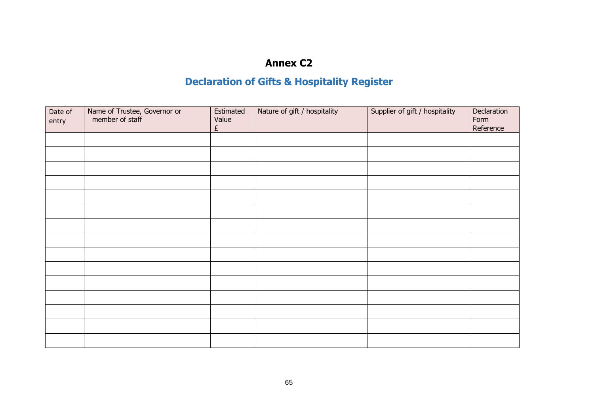## **Annex C2**

# **Declaration of Gifts & Hospitality Register**

| Date of<br>entry | Name of Trustee, Governor or<br>member of staff | Estimated<br>Value<br>£ | Nature of gift / hospitality | Supplier of gift / hospitality | Declaration<br>Form<br>Reference |
|------------------|-------------------------------------------------|-------------------------|------------------------------|--------------------------------|----------------------------------|
|                  |                                                 |                         |                              |                                |                                  |
|                  |                                                 |                         |                              |                                |                                  |
|                  |                                                 |                         |                              |                                |                                  |
|                  |                                                 |                         |                              |                                |                                  |
|                  |                                                 |                         |                              |                                |                                  |
|                  |                                                 |                         |                              |                                |                                  |
|                  |                                                 |                         |                              |                                |                                  |
|                  |                                                 |                         |                              |                                |                                  |
|                  |                                                 |                         |                              |                                |                                  |
|                  |                                                 |                         |                              |                                |                                  |
|                  |                                                 |                         |                              |                                |                                  |
|                  |                                                 |                         |                              |                                |                                  |
|                  |                                                 |                         |                              |                                |                                  |
|                  |                                                 |                         |                              |                                |                                  |
|                  |                                                 |                         |                              |                                |                                  |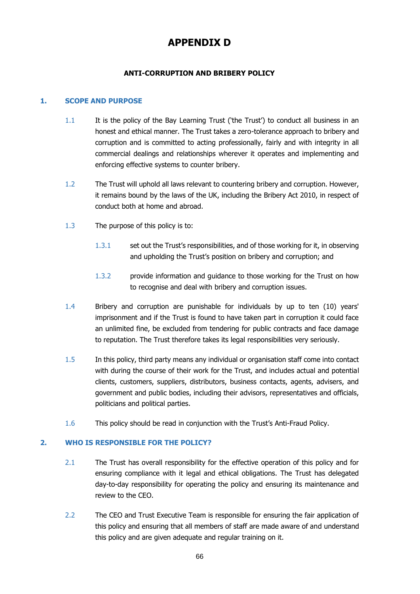## **APPENDIX D**

#### **ANTI-CORRUPTION AND BRIBERY POLICY**

#### **1. SCOPE AND PURPOSE**

- 1.1 It is the policy of the Bay Learning Trust ('the Trust') to conduct all business in an honest and ethical manner. The Trust takes a zero-tolerance approach to bribery and corruption and is committed to acting professionally, fairly and with integrity in all commercial dealings and relationships wherever it operates and implementing and enforcing effective systems to counter bribery.
- 1.2 The Trust will uphold all laws relevant to countering bribery and corruption. However, it remains bound by the laws of the UK, including the Bribery Act 2010, in respect of conduct both at home and abroad.
- 1.3 The purpose of this policy is to:
	- 1.3.1 set out the Trust's responsibilities, and of those working for it, in observing and upholding the Trust's position on bribery and corruption; and
	- 1.3.2 provide information and guidance to those working for the Trust on how to recognise and deal with bribery and corruption issues.
- 1.4 Bribery and corruption are punishable for individuals by up to ten (10) years' imprisonment and if the Trust is found to have taken part in corruption it could face an unlimited fine, be excluded from tendering for public contracts and face damage to reputation. The Trust therefore takes its legal responsibilities very seriously.
- 1.5 In this policy, third party means any individual or organisation staff come into contact with during the course of their work for the Trust, and includes actual and potential clients, customers, suppliers, distributors, business contacts, agents, advisers, and government and public bodies, including their advisors, representatives and officials, politicians and political parties.
- 1.6 This policy should be read in conjunction with the Trust's Anti-Fraud Policy.

#### **2. WHO IS RESPONSIBLE FOR THE POLICY?**

- 2.1 The Trust has overall responsibility for the effective operation of this policy and for ensuring compliance with it legal and ethical obligations. The Trust has delegated day-to-day responsibility for operating the policy and ensuring its maintenance and review to the CEO.
- 2.2 The CEO and Trust Executive Team is responsible for ensuring the fair application of this policy and ensuring that all members of staff are made aware of and understand this policy and are given adequate and regular training on it.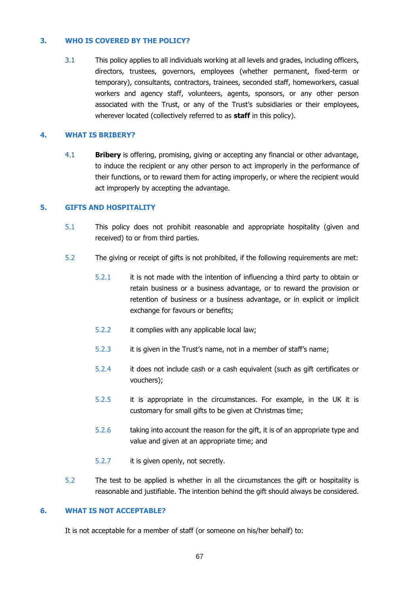#### **3. WHO IS COVERED BY THE POLICY?**

3.1 This policy applies to all individuals working at all levels and grades, including officers, directors, trustees, governors, employees (whether permanent, fixed-term or temporary), consultants, contractors, trainees, seconded staff, homeworkers, casual workers and agency staff, volunteers, agents, sponsors, or any other person associated with the Trust, or any of the Trust's subsidiaries or their employees, wherever located (collectively referred to as **staff** in this policy).

#### **4. WHAT IS BRIBERY?**

4.1 **Bribery** is offering, promising, giving or accepting any financial or other advantage, to induce the recipient or any other person to act improperly in the performance of their functions, or to reward them for acting improperly, or where the recipient would act improperly by accepting the advantage.

#### **5. GIFTS AND HOSPITALITY**

- 5.1 This policy does not prohibit reasonable and appropriate hospitality (given and received) to or from third parties.
- 5.2 The giving or receipt of gifts is not prohibited, if the following requirements are met:
	- 5.2.1 it is not made with the intention of influencing a third party to obtain or retain business or a business advantage, or to reward the provision or retention of business or a business advantage, or in explicit or implicit exchange for favours or benefits;
	- 5.2.2 it complies with any applicable local law;
	- 5.2.3 it is given in the Trust's name, not in a member of staff's name;
	- 5.2.4 it does not include cash or a cash equivalent (such as gift certificates or vouchers);
	- 5.2.5 it is appropriate in the circumstances. For example, in the UK it is customary for small gifts to be given at Christmas time;
	- 5.2.6 taking into account the reason for the gift, it is of an appropriate type and value and given at an appropriate time; and
	- 5.2.7 it is given openly, not secretly.
- 5.2 The test to be applied is whether in all the circumstances the gift or hospitality is reasonable and justifiable. The intention behind the gift should always be considered.

#### **6. WHAT IS NOT ACCEPTABLE?**

It is not acceptable for a member of staff (or someone on his/her behalf) to: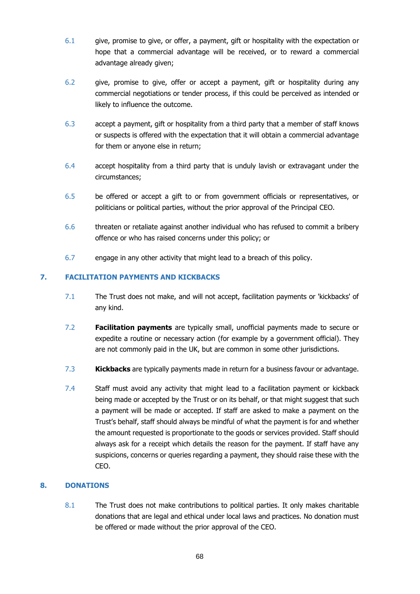- 6.1 give, promise to give, or offer, a payment, gift or hospitality with the expectation or hope that a commercial advantage will be received, or to reward a commercial advantage already given;
- 6.2 give, promise to give, offer or accept a payment, gift or hospitality during any commercial negotiations or tender process, if this could be perceived as intended or likely to influence the outcome.
- 6.3 accept a payment, gift or hospitality from a third party that a member of staff knows or suspects is offered with the expectation that it will obtain a commercial advantage for them or anyone else in return;
- 6.4 accept hospitality from a third party that is unduly lavish or extravagant under the circumstances;
- 6.5 be offered or accept a gift to or from government officials or representatives, or politicians or political parties, without the prior approval of the Principal CEO.
- 6.6 threaten or retaliate against another individual who has refused to commit a bribery offence or who has raised concerns under this policy; or
- 6.7 engage in any other activity that might lead to a breach of this policy.

### **7. FACILITATION PAYMENTS AND KICKBACKS**

- 7.1 The Trust does not make, and will not accept, facilitation payments or 'kickbacks' of any kind.
- 7.2 **Facilitation payments** are typically small, unofficial payments made to secure or expedite a routine or necessary action (for example by a government official). They are not commonly paid in the UK, but are common in some other jurisdictions.
- 7.3 **Kickbacks** are typically payments made in return for a business favour or advantage.
- 7.4 Staff must avoid any activity that might lead to a facilitation payment or kickback being made or accepted by the Trust or on its behalf, or that might suggest that such a payment will be made or accepted. If staff are asked to make a payment on the Trust's behalf, staff should always be mindful of what the payment is for and whether the amount requested is proportionate to the goods or services provided. Staff should always ask for a receipt which details the reason for the payment. If staff have any suspicions, concerns or queries regarding a payment, they should raise these with the CEO.

#### **8. DONATIONS**

8.1 The Trust does not make contributions to political parties. It only makes charitable donations that are legal and ethical under local laws and practices. No donation must be offered or made without the prior approval of the CEO.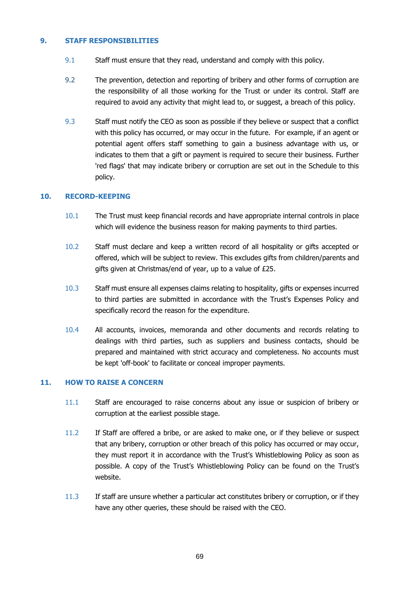#### **9. STAFF RESPONSIBILITIES**

- 9.1 Staff must ensure that they read, understand and comply with this policy.
- 9.2 The prevention, detection and reporting of bribery and other forms of corruption are the responsibility of all those working for the Trust or under its control. Staff are required to avoid any activity that might lead to, or suggest, a breach of this policy.
- 9.3 Staff must notify the CEO as soon as possible if they believe or suspect that a conflict with this policy has occurred, or may occur in the future. For example, if an agent or potential agent offers staff something to gain a business advantage with us, or indicates to them that a gift or payment is required to secure their business. Further 'red flags' that may indicate bribery or corruption are set out in the Schedule to this policy.

#### **10. RECORD-KEEPING**

- 10.1 The Trust must keep financial records and have appropriate internal controls in place which will evidence the business reason for making payments to third parties.
- 10.2 Staff must declare and keep a written record of all hospitality or gifts accepted or offered, which will be subject to review. This excludes gifts from children/parents and gifts given at Christmas/end of year, up to a value of £25.
- 10.3 Staff must ensure all expenses claims relating to hospitality, gifts or expenses incurred to third parties are submitted in accordance with the Trust's Expenses Policy and specifically record the reason for the expenditure.
- 10.4 All accounts, invoices, memoranda and other documents and records relating to dealings with third parties, such as suppliers and business contacts, should be prepared and maintained with strict accuracy and completeness. No accounts must be kept 'off-book' to facilitate or conceal improper payments.

#### **11. HOW TO RAISE A CONCERN**

- 11.1 Staff are encouraged to raise concerns about any issue or suspicion of bribery or corruption at the earliest possible stage.
- 11.2 If Staff are offered a bribe, or are asked to make one, or if they believe or suspect that any bribery, corruption or other breach of this policy has occurred or may occur, they must report it in accordance with the Trust's Whistleblowing Policy as soon as possible. A copy of the Trust's Whistleblowing Policy can be found on the Trust's website.
- 11.3 If staff are unsure whether a particular act constitutes bribery or corruption, or if they have any other queries, these should be raised with the CEO.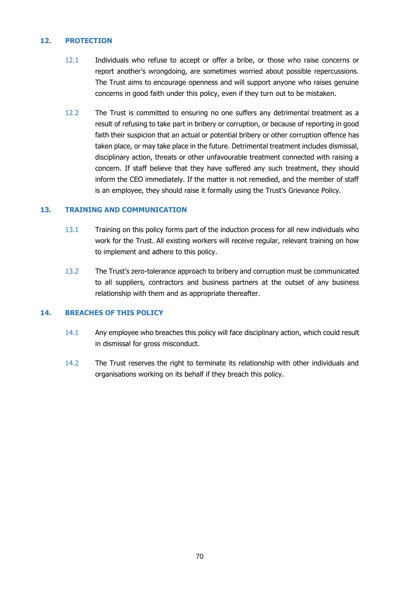#### **12. PROTECTION**

- 12.1 Individuals who refuse to accept or offer a bribe, or those who raise concerns or report another's wrongdoing, are sometimes worried about possible repercussions. The Trust aims to encourage openness and will support anyone who raises genuine concerns in good faith under this policy, even if they turn out to be mistaken.
- 12.2 The Trust is committed to ensuring no one suffers any detrimental treatment as a result of refusing to take part in bribery or corruption, or because of reporting in good faith their suspicion that an actual or potential bribery or other corruption offence has taken place, or may take place in the future. Detrimental treatment includes dismissal, disciplinary action, threats or other unfavourable treatment connected with raising a concern. If staff believe that they have suffered any such treatment, they should inform the CEO immediately. If the matter is not remedied, and the member of staff is an employee, they should raise it formally using the Trust's Grievance Policy.

#### **13. TRAINING AND COMMUNICATION**

- 13.1 Training on this policy forms part of the induction process for all new individuals who work for the Trust. All existing workers will receive regular, relevant training on how to implement and adhere to this policy.
- 13.2 The Trust's zero-tolerance approach to bribery and corruption must be communicated to all suppliers, contractors and business partners at the outset of any business relationship with them and as appropriate thereafter.

#### **14. BREACHES OF THIS POLICY**

- 14.1 Any employee who breaches this policy will face disciplinary action, which could result in dismissal for gross misconduct.
- 14.2 The Trust reserves the right to terminate its relationship with other individuals and organisations working on its behalf if they breach this policy.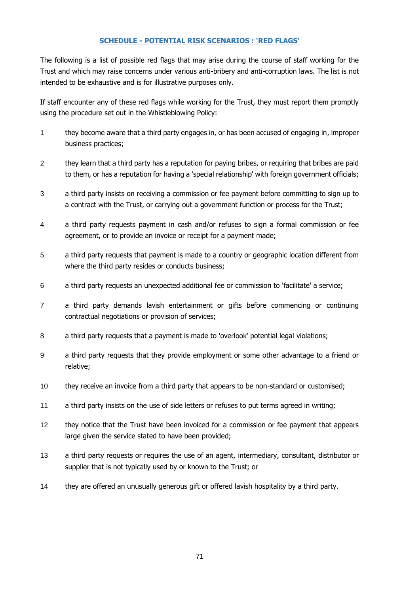#### **SCHEDULE - POTENTIAL RISK SCENARIOS : 'RED FLAGS'**

The following is a list of possible red flags that may arise during the course of staff working for the Trust and which may raise concerns under various anti-bribery and anti-corruption laws. The list is not intended to be exhaustive and is for illustrative purposes only.

If staff encounter any of these red flags while working for the Trust, they must report them promptly using the procedure set out in the Whistleblowing Policy:

- 1 they become aware that a third party engages in, or has been accused of engaging in, improper business practices;
- 2 they learn that a third party has a reputation for paying bribes, or requiring that bribes are paid to them, or has a reputation for having a 'special relationship' with foreign government officials;
- 3 a third party insists on receiving a commission or fee payment before committing to sign up to a contract with the Trust, or carrying out a government function or process for the Trust;
- 4 a third party requests payment in cash and/or refuses to sign a formal commission or fee agreement, or to provide an invoice or receipt for a payment made;
- 5 a third party requests that payment is made to a country or geographic location different from where the third party resides or conducts business;
- 6 a third party requests an unexpected additional fee or commission to 'facilitate' a service;
- 7 a third party demands lavish entertainment or gifts before commencing or continuing contractual negotiations or provision of services;
- 8 a third party requests that a payment is made to 'overlook' potential legal violations;
- 9 a third party requests that they provide employment or some other advantage to a friend or relative;
- 10 they receive an invoice from a third party that appears to be non-standard or customised;
- 11 a third party insists on the use of side letters or refuses to put terms agreed in writing;
- 12 they notice that the Trust have been invoiced for a commission or fee payment that appears large given the service stated to have been provided;
- 13 a third party requests or requires the use of an agent, intermediary, consultant, distributor or supplier that is not typically used by or known to the Trust; or
- 14 they are offered an unusually generous gift or offered lavish hospitality by a third party.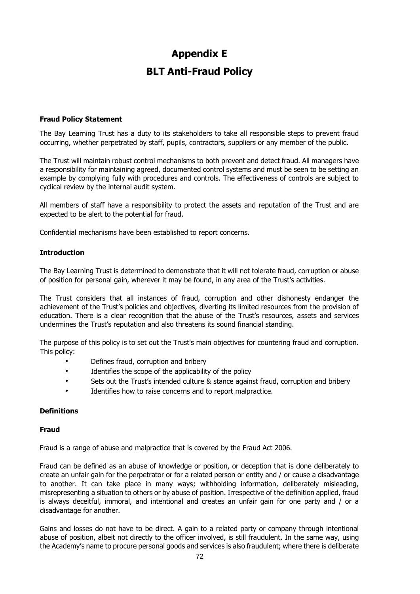# **Appendix E BLT Anti-Fraud Policy**

### **Fraud Policy Statement**

The Bay Learning Trust has a duty to its stakeholders to take all responsible steps to prevent fraud occurring, whether perpetrated by staff, pupils, contractors, suppliers or any member of the public.

The Trust will maintain robust control mechanisms to both prevent and detect fraud. All managers have a responsibility for maintaining agreed, documented control systems and must be seen to be setting an example by complying fully with procedures and controls. The effectiveness of controls are subject to cyclical review by the internal audit system.

All members of staff have a responsibility to protect the assets and reputation of the Trust and are expected to be alert to the potential for fraud.

Confidential mechanisms have been established to report concerns.

### **Introduction**

The Bay Learning Trust is determined to demonstrate that it will not tolerate fraud, corruption or abuse of position for personal gain, wherever it may be found, in any area of the Trust's activities.

The Trust considers that all instances of fraud, corruption and other dishonesty endanger the achievement of the Trust's policies and objectives, diverting its limited resources from the provision of education. There is a clear recognition that the abuse of the Trust's resources, assets and services undermines the Trust's reputation and also threatens its sound financial standing.

The purpose of this policy is to set out the Trust's main objectives for countering fraud and corruption. This policy:

- Defines fraud, corruption and bribery
- Identifies the scope of the applicability of the policy
- Sets out the Trust's intended culture & stance against fraud, corruption and bribery
- Identifies how to raise concerns and to report malpractice.

### **Definitions**

#### **Fraud**

Fraud is a range of abuse and malpractice that is covered by the Fraud Act 2006.

Fraud can be defined as an abuse of knowledge or position, or deception that is done deliberately to create an unfair gain for the perpetrator or for a related person or entity and / or cause a disadvantage to another. It can take place in many ways; withholding information, deliberately misleading, misrepresenting a situation to others or by abuse of position. Irrespective of the definition applied, fraud is always deceitful, immoral, and intentional and creates an unfair gain for one party and / or a disadvantage for another.

Gains and losses do not have to be direct. A gain to a related party or company through intentional abuse of position, albeit not directly to the officer involved, is still fraudulent. In the same way, using the Academy's name to procure personal goods and services is also fraudulent; where there is deliberate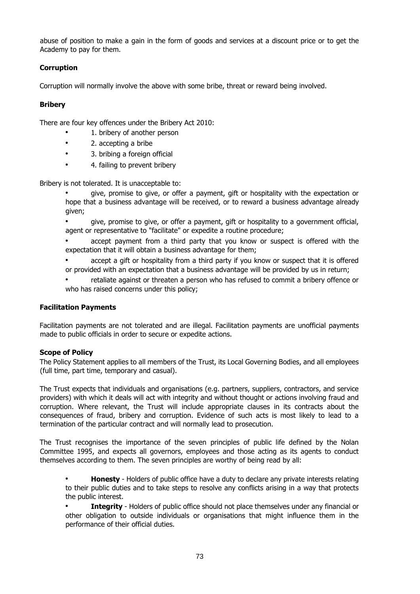abuse of position to make a gain in the form of goods and services at a discount price or to get the Academy to pay for them.

# **Corruption**

Corruption will normally involve the above with some bribe, threat or reward being involved.

### **Bribery**

There are four key offences under the Bribery Act 2010:

- 1. bribery of another person
- 2. accepting a bribe
- 3. bribing a foreign official
- 4. failing to prevent bribery

Bribery is not tolerated. It is unacceptable to:

• give, promise to give, or offer a payment, gift or hospitality with the expectation or hope that a business advantage will be received, or to reward a business advantage already given;

• give, promise to give, or offer a payment, gift or hospitality to a government official, agent or representative to "facilitate" or expedite a routine procedure;

accept payment from a third party that you know or suspect is offered with the expectation that it will obtain a business advantage for them;

• accept a gift or hospitality from a third party if you know or suspect that it is offered or provided with an expectation that a business advantage will be provided by us in return;

• retaliate against or threaten a person who has refused to commit a bribery offence or who has raised concerns under this policy;

# **Facilitation Payments**

Facilitation payments are not tolerated and are illegal. Facilitation payments are unofficial payments made to public officials in order to secure or expedite actions.

### **Scope of Policy**

The Policy Statement applies to all members of the Trust, its Local Governing Bodies, and all employees (full time, part time, temporary and casual).

The Trust expects that individuals and organisations (e.g. partners, suppliers, contractors, and service providers) with which it deals will act with integrity and without thought or actions involving fraud and corruption. Where relevant, the Trust will include appropriate clauses in its contracts about the consequences of fraud, bribery and corruption. Evidence of such acts is most likely to lead to a termination of the particular contract and will normally lead to prosecution.

The Trust recognises the importance of the seven principles of public life defined by the Nolan Committee 1995, and expects all governors, employees and those acting as its agents to conduct themselves according to them. The seven principles are worthy of being read by all:

• **Honesty** - Holders of public office have a duty to declare any private interests relating to their public duties and to take steps to resolve any conflicts arising in a way that protects the public interest.

• **Integrity** - Holders of public office should not place themselves under any financial or other obligation to outside individuals or organisations that might influence them in the performance of their official duties.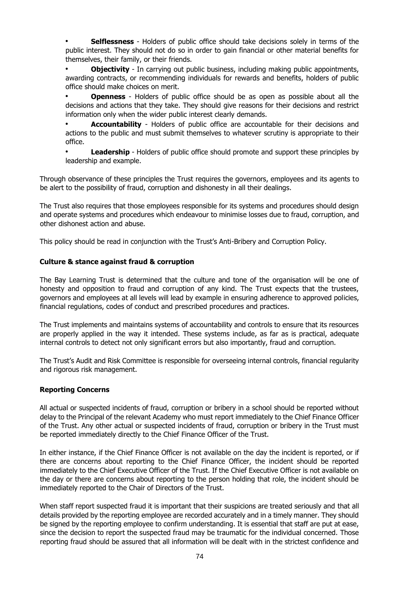• **Selflessness** - Holders of public office should take decisions solely in terms of the public interest. They should not do so in order to gain financial or other material benefits for themselves, their family, or their friends.

**Objectivity** - In carrying out public business, including making public appointments, awarding contracts, or recommending individuals for rewards and benefits, holders of public office should make choices on merit.

• **Openness** - Holders of public office should be as open as possible about all the decisions and actions that they take. They should give reasons for their decisions and restrict information only when the wider public interest clearly demands.

• **Accountability** - Holders of public office are accountable for their decisions and actions to the public and must submit themselves to whatever scrutiny is appropriate to their office.

• **Leadership** - Holders of public office should promote and support these principles by leadership and example.

Through observance of these principles the Trust requires the governors, employees and its agents to be alert to the possibility of fraud, corruption and dishonesty in all their dealings.

The Trust also requires that those employees responsible for its systems and procedures should design and operate systems and procedures which endeavour to minimise losses due to fraud, corruption, and other dishonest action and abuse.

This policy should be read in conjunction with the Trust's Anti-Bribery and Corruption Policy.

# **Culture & stance against fraud & corruption**

The Bay Learning Trust is determined that the culture and tone of the organisation will be one of honesty and opposition to fraud and corruption of any kind. The Trust expects that the trustees, governors and employees at all levels will lead by example in ensuring adherence to approved policies, financial regulations, codes of conduct and prescribed procedures and practices.

The Trust implements and maintains systems of accountability and controls to ensure that its resources are properly applied in the way it intended. These systems include, as far as is practical, adequate internal controls to detect not only significant errors but also importantly, fraud and corruption.

The Trust's Audit and Risk Committee is responsible for overseeing internal controls, financial regularity and rigorous risk management.

### **Reporting Concerns**

All actual or suspected incidents of fraud, corruption or bribery in a school should be reported without delay to the Principal of the relevant Academy who must report immediately to the Chief Finance Officer of the Trust. Any other actual or suspected incidents of fraud, corruption or bribery in the Trust must be reported immediately directly to the Chief Finance Officer of the Trust.

In either instance, if the Chief Finance Officer is not available on the day the incident is reported, or if there are concerns about reporting to the Chief Finance Officer, the incident should be reported immediately to the Chief Executive Officer of the Trust. If the Chief Executive Officer is not available on the day or there are concerns about reporting to the person holding that role, the incident should be immediately reported to the Chair of Directors of the Trust.

When staff report suspected fraud it is important that their suspicions are treated seriously and that all details provided by the reporting employee are recorded accurately and in a timely manner. They should be signed by the reporting employee to confirm understanding. It is essential that staff are put at ease, since the decision to report the suspected fraud may be traumatic for the individual concerned. Those reporting fraud should be assured that all information will be dealt with in the strictest confidence and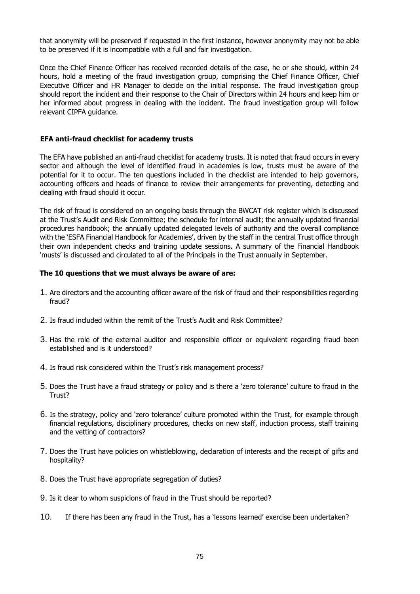that anonymity will be preserved if requested in the first instance, however anonymity may not be able to be preserved if it is incompatible with a full and fair investigation.

Once the Chief Finance Officer has received recorded details of the case, he or she should, within 24 hours, hold a meeting of the fraud investigation group, comprising the Chief Finance Officer, Chief Executive Officer and HR Manager to decide on the initial response. The fraud investigation group should report the incident and their response to the Chair of Directors within 24 hours and keep him or her informed about progress in dealing with the incident. The fraud investigation group will follow relevant CIPFA guidance.

### **EFA anti-fraud checklist for academy trusts**

The EFA have published an anti-fraud checklist for academy trusts. It is noted that fraud occurs in every sector and although the level of identified fraud in academies is low, trusts must be aware of the potential for it to occur. The ten questions included in the checklist are intended to help governors, accounting officers and heads of finance to review their arrangements for preventing, detecting and dealing with fraud should it occur.

The risk of fraud is considered on an ongoing basis through the BWCAT risk register which is discussed at the Trust's Audit and Risk Committee; the schedule for internal audit; the annually updated financial procedures handbook; the annually updated delegated levels of authority and the overall compliance with the 'ESFA Financial Handbook for Academies', driven by the staff in the central Trust office through their own independent checks and training update sessions. A summary of the Financial Handbook 'musts' is discussed and circulated to all of the Principals in the Trust annually in September.

### **The 10 questions that we must always be aware of are:**

- 1. Are directors and the accounting officer aware of the risk of fraud and their responsibilities regarding fraud?
- 2. Is fraud included within the remit of the Trust's Audit and Risk Committee?
- 3. Has the role of the external auditor and responsible officer or equivalent regarding fraud been established and is it understood?
- 4. Is fraud risk considered within the Trust's risk management process?
- 5. Does the Trust have a fraud strategy or policy and is there a 'zero tolerance' culture to fraud in the Trust?
- 6. Is the strategy, policy and 'zero tolerance' culture promoted within the Trust, for example through financial regulations, disciplinary procedures, checks on new staff, induction process, staff training and the vetting of contractors?
- 7. Does the Trust have policies on whistleblowing, declaration of interests and the receipt of gifts and hospitality?
- 8. Does the Trust have appropriate segregation of duties?
- 9. Is it clear to whom suspicions of fraud in the Trust should be reported?
- 10. If there has been any fraud in the Trust, has a 'lessons learned' exercise been undertaken?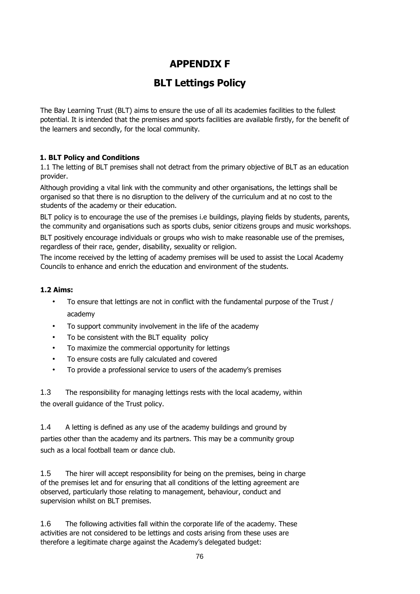# **APPENDIX F**

# **BLT Lettings Policy**

The Bay Learning Trust (BLT) aims to ensure the use of all its academies facilities to the fullest potential. It is intended that the premises and sports facilities are available firstly, for the benefit of the learners and secondly, for the local community.

# **1. BLT Policy and Conditions**

1.1 The letting of BLT premises shall not detract from the primary objective of BLT as an education provider.

Although providing a vital link with the community and other organisations, the lettings shall be organised so that there is no disruption to the delivery of the curriculum and at no cost to the students of the academy or their education.

BLT policy is to encourage the use of the premises i.e buildings, playing fields by students, parents, the community and organisations such as sports clubs, senior citizens groups and music workshops.

BLT positively encourage individuals or groups who wish to make reasonable use of the premises. regardless of their race, gender, disability, sexuality or religion.

The income received by the letting of academy premises will be used to assist the Local Academy Councils to enhance and enrich the education and environment of the students.

### **1.2 Aims:**

- To ensure that lettings are not in conflict with the fundamental purpose of the Trust / academy
- To support community involvement in the life of the academy
- To be consistent with the BLT equality policy
- To maximize the commercial opportunity for lettings
- To ensure costs are fully calculated and covered
- To provide a professional service to users of the academy's premises

1.3 The responsibility for managing lettings rests with the local academy, within the overall guidance of the Trust policy.

1.4 A letting is defined as any use of the academy buildings and ground by parties other than the academy and its partners. This may be a community group such as a local football team or dance club.

1.5 The hirer will accept responsibility for being on the premises, being in charge of the premises let and for ensuring that all conditions of the letting agreement are observed, particularly those relating to management, behaviour, conduct and supervision whilst on BLT premises.

1.6 The following activities fall within the corporate life of the academy. These activities are not considered to be lettings and costs arising from these uses are therefore a legitimate charge against the Academy's delegated budget: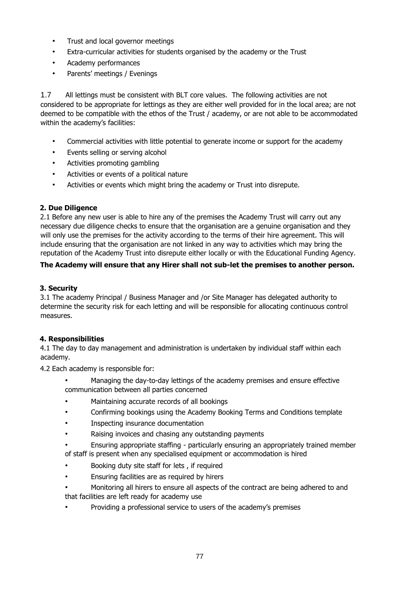- Trust and local governor meetings
- Extra-curricular activities for students organised by the academy or the Trust
- Academy performances
- Parents' meetings / Evenings

1.7 All lettings must be consistent with BLT core values. The following activities are not considered to be appropriate for lettings as they are either well provided for in the local area; are not deemed to be compatible with the ethos of the Trust / academy, or are not able to be accommodated within the academy's facilities:

- Commercial activities with little potential to generate income or support for the academy
- Events selling or serving alcohol
- Activities promoting gambling
- Activities or events of a political nature
- Activities or events which might bring the academy or Trust into disrepute.

# **2. Due Diligence**

2.1 Before any new user is able to hire any of the premises the Academy Trust will carry out any necessary due diligence checks to ensure that the organisation are a genuine organisation and they will only use the premises for the activity according to the terms of their hire agreement. This will include ensuring that the organisation are not linked in any way to activities which may bring the reputation of the Academy Trust into disrepute either locally or with the Educational Funding Agency.

# **The Academy will ensure that any Hirer shall not sub-let the premises to another person.**

# **3. Security**

3.1 The academy Principal / Business Manager and /or Site Manager has delegated authority to determine the security risk for each letting and will be responsible for allocating continuous control measures.

# **4. Responsibilities**

4.1 The day to day management and administration is undertaken by individual staff within each academy.

4.2 Each academy is responsible for:

- Managing the day-to-day lettings of the academy premises and ensure effective communication between all parties concerned
- Maintaining accurate records of all bookings
- Confirming bookings using the Academy Booking Terms and Conditions template
- Inspecting insurance documentation
- Raising invoices and chasing any outstanding payments
- Ensuring appropriate staffing particularly ensuring an appropriately trained member of staff is present when any specialised equipment or accommodation is hired
- Booking duty site staff for lets , if required
- Ensuring facilities are as required by hirers
- Monitoring all hirers to ensure all aspects of the contract are being adhered to and that facilities are left ready for academy use
- Providing a professional service to users of the academy's premises